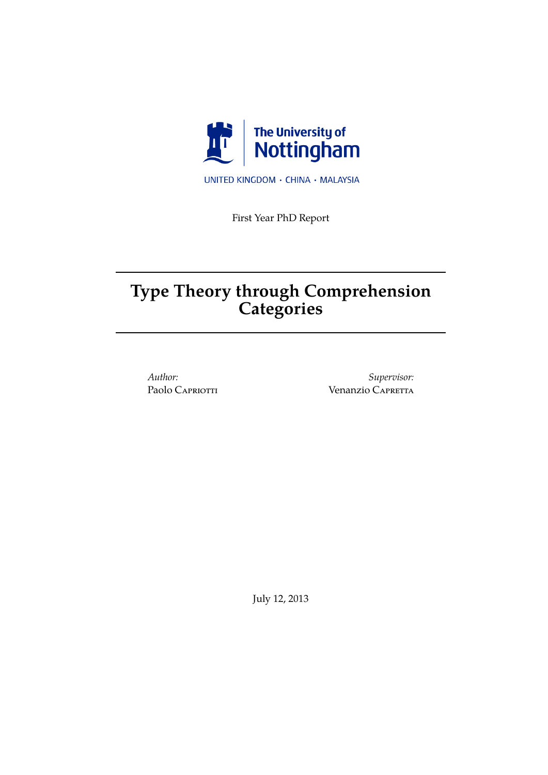

UNITED KINGDOM · CHINA · MALAYSIA

First Year PhD Report

# **Type Theory through Comprehension Categories**

*Author:* Paolo Capriotti

*Supervisor:* Venanzio CAPRETTA

July 12, 2013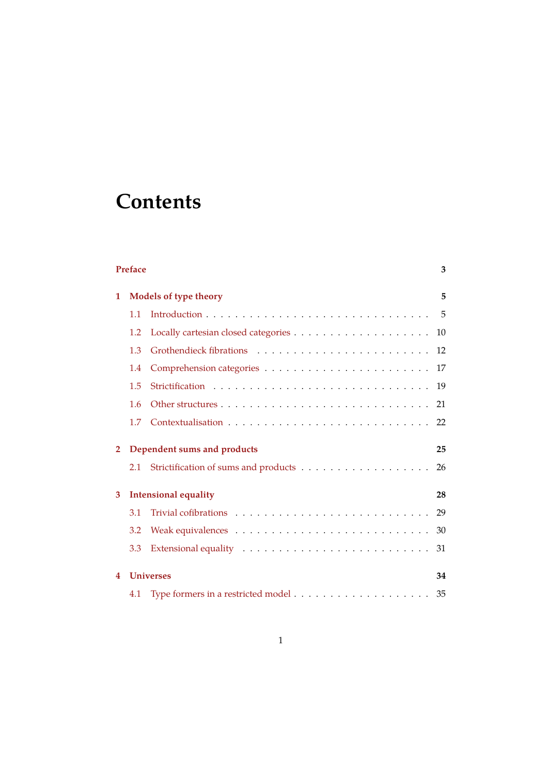# **Contents**

| <b>Preface</b><br>3 |                              |                                                                                                                 |          |  |
|---------------------|------------------------------|-----------------------------------------------------------------------------------------------------------------|----------|--|
| 1                   | <b>Models of type theory</b> |                                                                                                                 |          |  |
|                     | 1.1                          |                                                                                                                 | 5        |  |
|                     | 1.2                          |                                                                                                                 | 10       |  |
|                     | 1.3                          |                                                                                                                 | 12       |  |
|                     | 1.4                          |                                                                                                                 | 17       |  |
|                     | 1.5                          |                                                                                                                 |          |  |
|                     | 1.6                          |                                                                                                                 | 21       |  |
|                     | 1.7                          |                                                                                                                 | 22       |  |
| $\overline{2}$      | 2.1                          | Dependent sums and products<br>Strictification of sums and products $\dots \dots \dots \dots \dots \dots \dots$ | 25<br>26 |  |
|                     |                              |                                                                                                                 |          |  |
| 3                   |                              | <b>Intensional equality</b>                                                                                     | 28       |  |
|                     | 3.1                          |                                                                                                                 | 29       |  |
|                     | 3.2                          |                                                                                                                 | 30       |  |
|                     | 3.3                          |                                                                                                                 | 31       |  |
| 4                   |                              | <b>Universes</b>                                                                                                | 34       |  |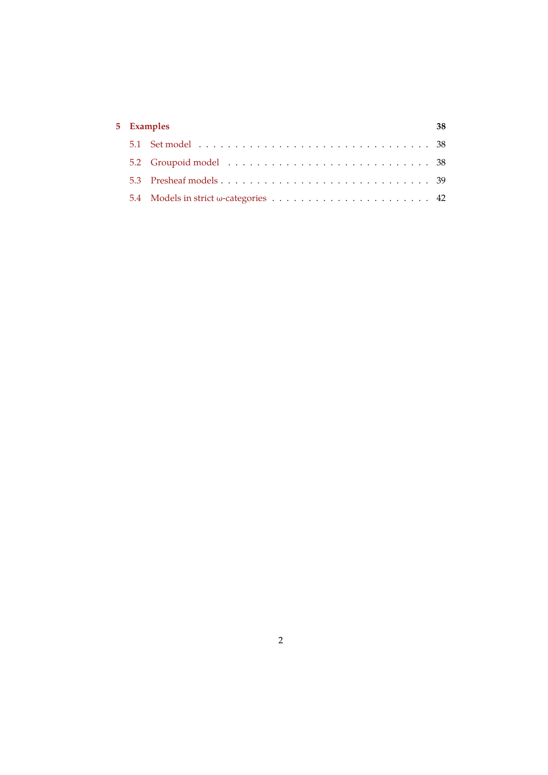| 5 Examples |  | 38 |
|------------|--|----|
|            |  |    |
|            |  |    |
|            |  |    |
|            |  |    |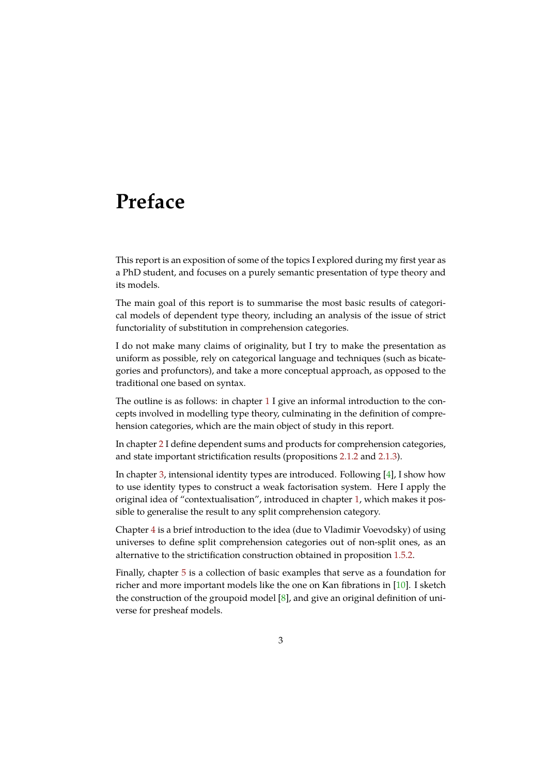# <span id="page-3-0"></span>**Preface**

This report is an exposition of some of the topics I explored during my first year as a PhD student, and focuses on a purely semantic presentation of type theory and its models.

The main goal of this report is to summarise the most basic results of categorical models of dependent type theory, including an analysis of the issue of strict functoriality of substitution in comprehension categories.

I do not make many claims of originality, but I try to make the presentation as uniform as possible, rely on categorical language and techniques (such as bicategories and profunctors), and take a more conceptual approach, as opposed to the traditional one based on syntax.

The outline is as follows: in chapter 1 I give an informal introduction to the concepts involved in modelling type theory, culminating in the definition of comprehension categories, which are the main object of study in this report.

In chapter 2 I define dependent sum[s a](#page-5-0)nd products for comprehension categories, and state important strictification results (propositions 2.1.2 and 2.1.3).

In chapter 3, intensional identity types are introduced. Following [4], I show how to use ide[nt](#page-25-0)ity types to construct a weak factorisation system. Here I apply the original idea of "contextualisation", introduced in cha[pter](#page-27-0) 1, wh[ich m](#page-27-1)akes it possible to ge[ne](#page-28-0)ralise the result to any split comprehension category.

Chapter 4 is a brief introduction to the idea (due to Vladimir Voev[od](#page-44-0)sky) of using universes to define split comprehension categories out o[f n](#page-5-0)on-split ones, as an alternative to the strictification construction obtained in proposition 1.5.2.

Finally, [ch](#page-34-0)apter 5 is a collection of basic examples that serve as a foundation for richer and more important models like the one on Kan fibrations in [10]. I sketch the construction of the groupoid model  $[8]$ , and give an original defi[nition](#page-21-1) of universe for preshe[af](#page-38-0) models.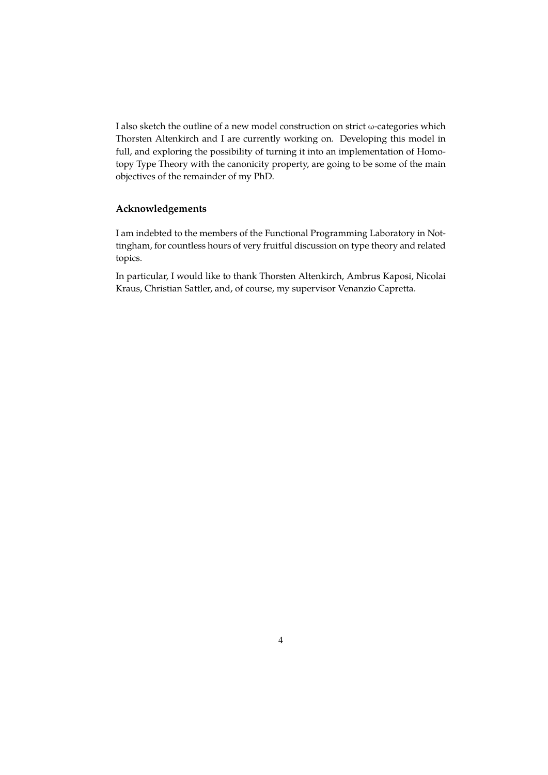I also sketch the outline of a new model construction on strict ω-categories which Thorsten Altenkirch and I are currently working on. Developing this model in full, and exploring the possibility of turning it into an implementation of Homotopy Type Theory with the canonicity property, are going to be some of the main objectives of the remainder of my PhD.

### **Acknowledgements**

I am indebted to the members of the Functional Programming Laboratory in Nottingham, for countless hours of very fruitful discussion on type theory and related topics.

In particular, I would like to thank Thorsten Altenkirch, Ambrus Kaposi, Nicolai Kraus, Christian Sattler, and, of course, my supervisor Venanzio Capretta.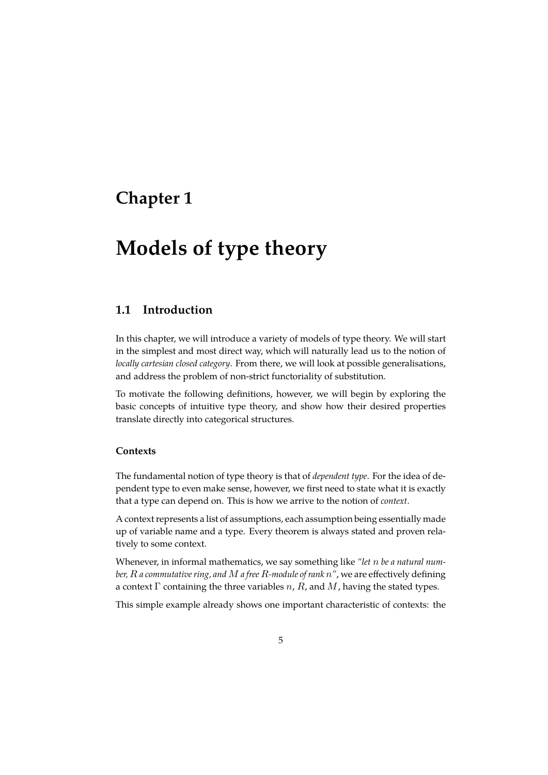# <span id="page-5-0"></span>**Chapter 1**

# **Models of type theory**

## <span id="page-5-1"></span>**1.1 Introduction**

In this chapter, we will introduce a variety of models of type theory. We will start in the simplest and most direct way, which will naturally lead us to the notion of *locally cartesian closed category*. From there, we will look at possible generalisations, and address the problem of non-strict functoriality of substitution.

To motivate the following definitions, however, we will begin by exploring the basic concepts of intuitive type theory, and show how their desired properties translate directly into categorical structures.

### **Contexts**

The fundamental notion of type theory is that of *dependent type*. For the idea of dependent type to even make sense, however, we first need to state what it is exactly that a type can depend on. This is how we arrive to the notion of *context*.

A context represents a list of assumptions, each assumption being essentially made up of variable name and a type. Every theorem is always stated and proven relatively to some context.

Whenever, in informal mathematics, we say something like *"let be a natural number, R a commutative ring, and M a free R-module of rank*  $n''$ *, we are effectively defining* a context  $\Gamma$  containing the three variables  $n$ ,  $R$ , and  $M$ , having the stated types.

This simple example already shows one important characteristic of contexts: the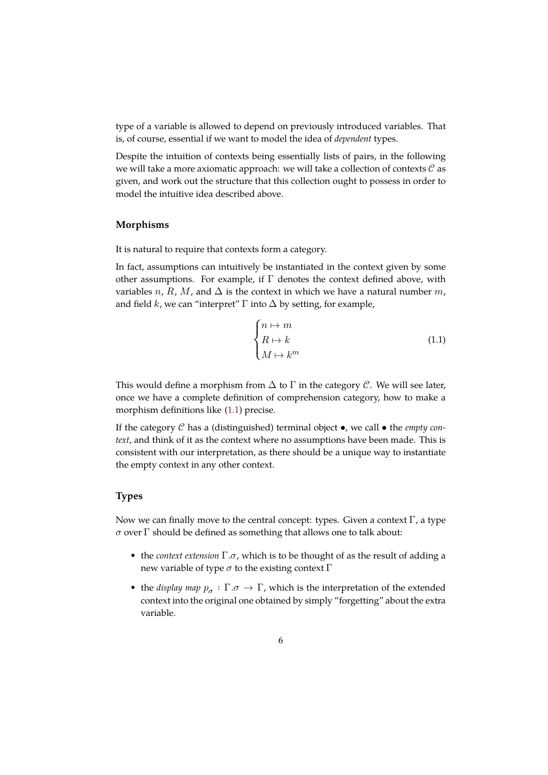type of a variable is allowed to depend on previously introduced variables. That is, of course, essential if we want to model the idea of *dependent* types.

Despite the intuition of contexts being essentially lists of pairs, in the following we will take a more axiomatic approach: we will take a collection of contexts  $\mathcal C$  as given, and work out the structure that this collection ought to possess in order to model the intuitive idea described above.

### **Morphisms**

It is natural to require that contexts form a category.

In fact, assumptions can intuitively be instantiated in the context given by some other assumptions. For example, if  $\Gamma$  denotes the context defined above, with variables n, R, M, and  $\Delta$  is the context in which we have a natural number m, and field  $k$ , we can "interpret"  $\Gamma$  into  $\Delta$  by setting, for example,

<span id="page-6-0"></span>
$$
\begin{cases} n \mapsto m \\ R \mapsto k \\ M \mapsto k^m \end{cases} \tag{1.1}
$$

This would define a morphism from  $\Delta$  to  $\Gamma$  in the category  $\mathcal{C}$ . We will see later, once we have a complete definition of comprehension category, how to make a morphism definitions like (1.1) precise.

If the category  $C$  has a (distinguished) terminal object  $\bullet$ , we call  $\bullet$  the *empty context*, and think of it as the context where no assumptions have been made. This is consistent with our interpr[etat](#page-6-0)ion, as there should be a unique way to instantiate the empty context in any other context.

### **Types**

Now we can finally move to the central concept: types. Given a context  $\Gamma$ , a type  $\sigma$  over  $\Gamma$  should be defined as something that allows one to talk about:

- the *context extension*  $\Gamma.\sigma$ , which is to be thought of as the result of adding a new variable of type  $\sigma$  to the existing context Γ
- the *display map*  $p_{\sigma} : \Gamma \rightarrow \Gamma$ , which is the interpretation of the extended context into the original one obtained by simply "forgetting" about the extra variable.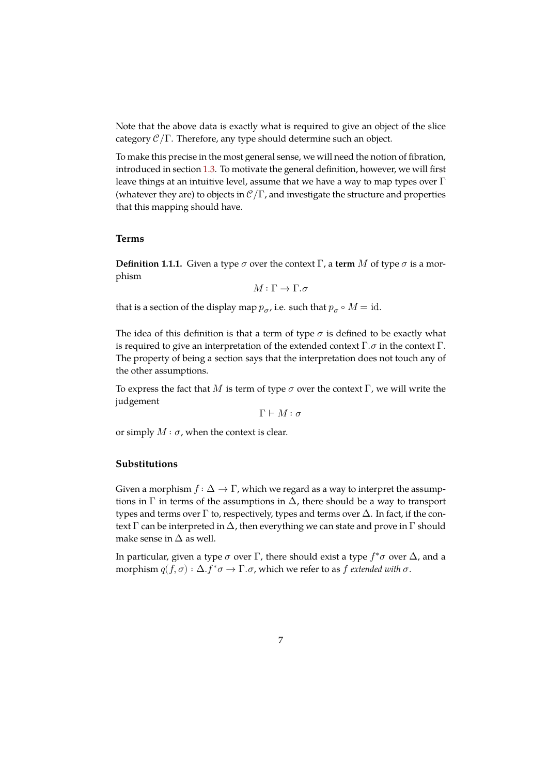Note that the above data is exactly what is required to give an object of the slice category  $\mathcal{C}/\Gamma$ . Therefore, any type should determine such an object.

To make this precise in the most general sense, we will need the notion of fibration, introduced in section 1.3. To motivate the general definition, however, we will first leave things at an intuitive level, assume that we have a way to map types over  $\Gamma$ (whatever they are) to objects in  $\mathcal{C}/\Gamma$ , and investigate the structure and properties that this mapping sh[ould](#page-12-0) have.

### **Terms**

**Definition 1.1.1.** Given a type  $\sigma$  over the context  $\Gamma$ , a **term**  $M$  of type  $\sigma$  is a morphism

$$
M:\Gamma\to\Gamma.\sigma
$$

that is a section of the display map  $p_{\sigma}$ , i.e. such that  $p_{\sigma} \circ M = \text{id}$ .

The idea of this definition is that a term of type  $\sigma$  is defined to be exactly what is required to give an interpretation of the extended context  $\Gamma$ .  $\sigma$  in the context  $\Gamma$ . The property of being a section says that the interpretation does not touch any of the other assumptions.

To express the fact that M is term of type  $\sigma$  over the context Γ, we will write the judgement

 $\Gamma \vdash M : \sigma$ 

or simply  $M : \sigma$ , when the context is clear.

### **Substitutions**

Given a morphism  $f : \Delta \to \Gamma$ , which we regard as a way to interpret the assumptions in  $\Gamma$  in terms of the assumptions in  $\Delta$ , there should be a way to transport types and terms over  $\Gamma$  to, respectively, types and terms over  $\Delta$ . In fact, if the context  $\Gamma$  can be interpreted in  $\Delta$ , then everything we can state and prove in  $\Gamma$  should make sense in  $\Delta$  as well.

In particular, given a type  $\sigma$  over  $\Gamma$ , there should exist a type  $f^*\sigma$  over  $\Delta$ , and a morphism  $q(f, \sigma) : \Delta f^* \sigma \to \Gamma \sigma$ , which we refer to as f *extended with*  $\sigma$ .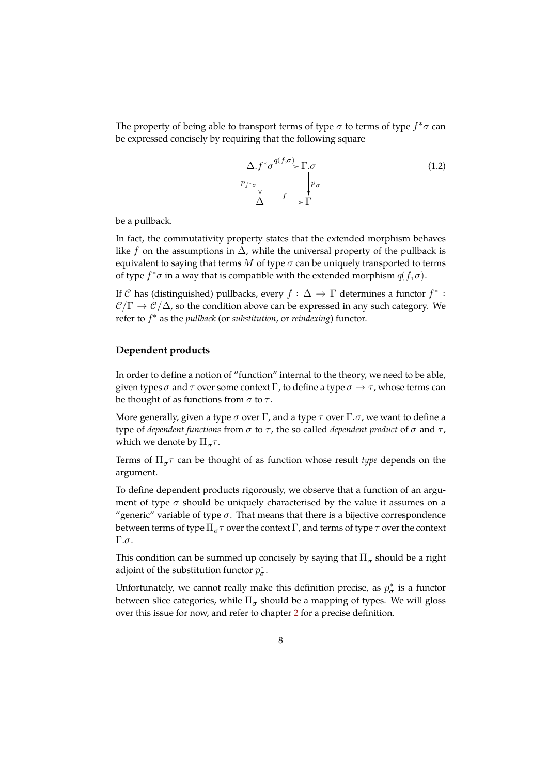The property of being able to transport terms of type  $\sigma$  to terms of type  $f^*\sigma$  can be expressed concisely by requiring that the following square

$$
\Delta f^* \sigma \xrightarrow{q(f,\sigma)} \Gamma.\sigma
$$
\n
$$
p_{f^*\sigma} \downarrow \qquad \qquad p_{\sigma}
$$
\n
$$
\Delta \xrightarrow{f} \Gamma
$$
\n(1.2)

be a pullback.

In fact, the commutativity property states that the extended morphism behaves like f on the assumptions in  $\Delta$ , while the universal property of the pullback is equivalent to saying that terms  $M$  of type  $\sigma$  can be uniquely transported to terms of type  $f^*\sigma$  in a way that is compatible with the extended morphism  $q(f, \sigma)$ .

If C has (distinguished) pullbacks, every  $f : \Delta \to \Gamma$  determines a functor  $f^*$ :  $\mathcal{C}/\Gamma \to \mathcal{C}/\Delta$ , so the condition above can be expressed in any such category. We refer to  $f^*$  as the *pullback* (or *substitution*, or *reindexing*) functor.

#### **Dependent products**

In order to define a notion of "function" internal to the theory, we need to be able, given types  $\sigma$  and  $\tau$  over some context  $\Gamma$ , to define a type  $\sigma \to \tau$ , whose terms can be thought of as functions from  $\sigma$  to  $\tau$ .

More generally, given a type  $\sigma$  over  $\Gamma$ , and a type  $\tau$  over  $\Gamma$ . $\sigma$ , we want to define a type of *dependent functions* from  $\sigma$  to  $\tau$ , the so called *dependent product* of  $\sigma$  and  $\tau$ , which we denote by  $\Pi_{\sigma} \tau$ .

Terms of  $\Pi_{\sigma} \tau$  can be thought of as function whose result *type* depends on the argument.

To define dependent products rigorously, we observe that a function of an argument of type  $\sigma$  should be uniquely characterised by the value it assumes on a "generic" variable of type  $\sigma$ . That means that there is a bijective correspondence between terms of type  $\Pi_{\sigma} \tau$  over the context  $\Gamma$ , and terms of type  $\tau$  over the context  $Γ.\sigma.$ 

This condition can be summed up concisely by saying that  $\Pi_\sigma$  should be a right adjoint of the substitution functor  $p_{\boldsymbol{\sigma}}^*$ .

Unfortunately, we cannot really make this definition precise, as  $p^*_{\sigma}$  is a functor between slice categories, while  $\Pi_\sigma$  should be a mapping of types. We will gloss over this issue for now, and refer to chapter 2 for a precise definition.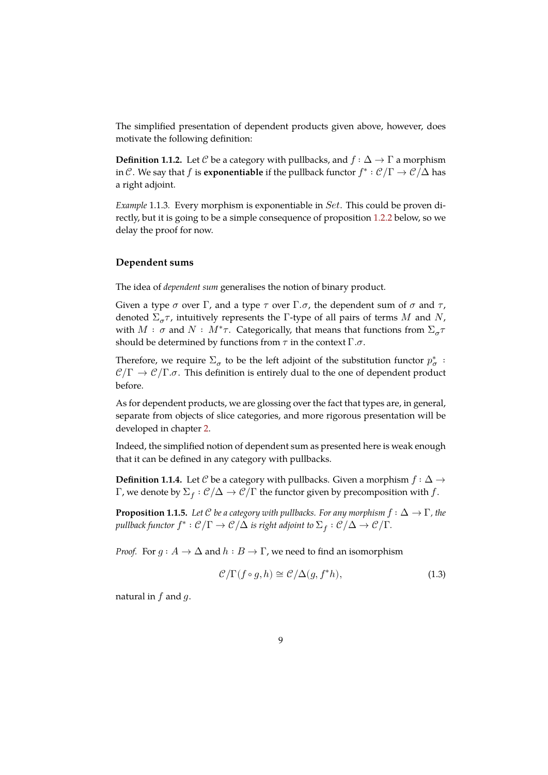The simplified presentation of dependent products given above, however, does motivate the following definition:

**Definition 1.1.2.** Let C be a category with pullbacks, and  $f : \Delta \to \Gamma$  a morphism in C. We say that f is **exponentiable** if the pullback functor  $f^* : \mathcal{C}/\Gamma \to \mathcal{C}/\Delta$  has a right adjoint.

*Example* 1.1.3*.* Every morphism is exponentiable in *Set*. This could be proven directly, but it is going to be a simple consequence of proposition 1.2.2 below, so we delay the proof for now.

### <span id="page-9-1"></span>**Dependent sums**

The idea of *dependent sum* generalises the notion of binary product.

Given a type  $\sigma$  over  $\Gamma$ , and a type  $\tau$  over  $\Gamma$ . $\sigma$ , the dependent sum of  $\sigma$  and  $\tau$ , denoted  $\Sigma_{\sigma} \tau$ , intuitively represents the Γ-type of all pairs of terms M and N, with  $M$  :  $\sigma$  and  $N$  :  $M^* \tau$ . Categorically, that means that functions from  $\Sigma_{\sigma} \tau$ should be determined by functions from  $\tau$  in the context  $\Gamma.\sigma$ .

Therefore, we require  $\Sigma_{\sigma}$  to be the left adjoint of the substitution functor  $p^*_{\sigma}$  :  $\mathcal{C}/\Gamma \to \mathcal{C}/\Gamma \cdot \sigma$ . This definition is entirely dual to the one of dependent product before.

As for dependent products, we are glossing over the fact that types are, in general, separate from objects of slice categories, and more rigorous presentation will be developed in chapter 2.

Indeed, the simplified notion of dependent sum as presented here is weak enough that it can be defined in any category with pullbacks.

**Definition 1.1.4.** Let C be a category with pullbacks. Given a morphism  $f : \Delta \rightarrow$ Γ, we denote by  $\Sigma_f : \mathcal{C}/\Delta \to \mathcal{C}/\Gamma$  the functor given by precomposition with  $f.$ 

**Proposition 1.1.5.** *Let*  $C$  *be a category with pullbacks. For any morphism*  $f : \Delta \to \Gamma$ *, the* pullback functor  $f^*: \mathcal{C}/\Gamma \to \mathcal{C}/\Delta$  is right adjoint to  $\Sigma_f: \mathcal{C}/\Delta \to \mathcal{C}/\Gamma$ .

*Proof.* For  $g : A \to \Delta$  and  $h : B \to \Gamma$ , we need to find an isomorphism

<span id="page-9-0"></span>
$$
\mathcal{C}/\Gamma(f \circ g, h) \cong \mathcal{C}/\Delta(g, f^*h),\tag{1.3}
$$

natural in  $f$  and  $g$ .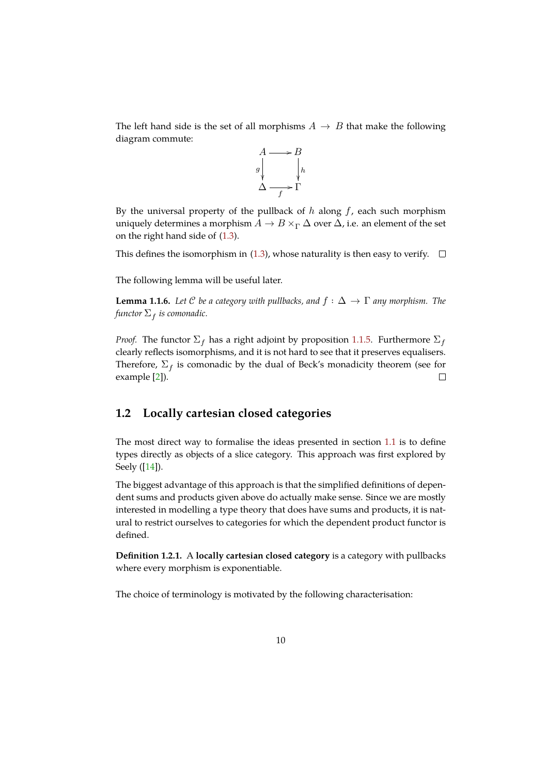The left hand side is the set of all morphisms  $A \rightarrow B$  that make the following diagram commute:



By the universal property of the pullback of  $h$  along  $f$ , each such morphism uniquely determines a morphism  $A \to B \times_{\Gamma} \Delta$  over  $\Delta$ , i.e. an element of the set on the right hand side of (1.3).

This defines the isomorphism in (1.3), whose naturality is then easy to verify.  $\Box$ 

The following lemma will [be](#page-9-0) useful later.

**Lemma 1.1.6.** Let C be a category [with](#page-9-0) pullbacks, and  $f : \Delta \to \Gamma$  any morphism. The functor  $\Sigma_f$  is comonadic.

<span id="page-10-1"></span>*Proof.* The functor  $\Sigma_f$  has a right adjoint by proposition 1.1.5. Furthermore  $\Sigma_f$ clearly reflects isomorphisms, and it is not hard to see that it preserves equalisers. Therefore,  $\Sigma_f$  is comonadic by the dual of Beck's monadicity theorem (see for example [2]).  $\Box$ 

### **1.2 L[oc](#page-44-2)ally cartesian closed categories**

<span id="page-10-0"></span>The most direct way to formalise the ideas presented in section 1.1 is to define types directly as objects of a slice category. This approach was first explored by Seely ([14]).

The biggest advantage of this approach is that the simplified defin[itio](#page-5-1)ns of dependent sums and products given above do actually make sense. Since we are mostly interes[ted](#page-45-0) in modelling a type theory that does have sums and products, it is natural to restrict ourselves to categories for which the dependent product functor is defined.

**Definition 1.2.1.** A **locally cartesian closed category** is a category with pullbacks where every morphism is exponentiable.

The choice of terminology is motivated by the following characterisation: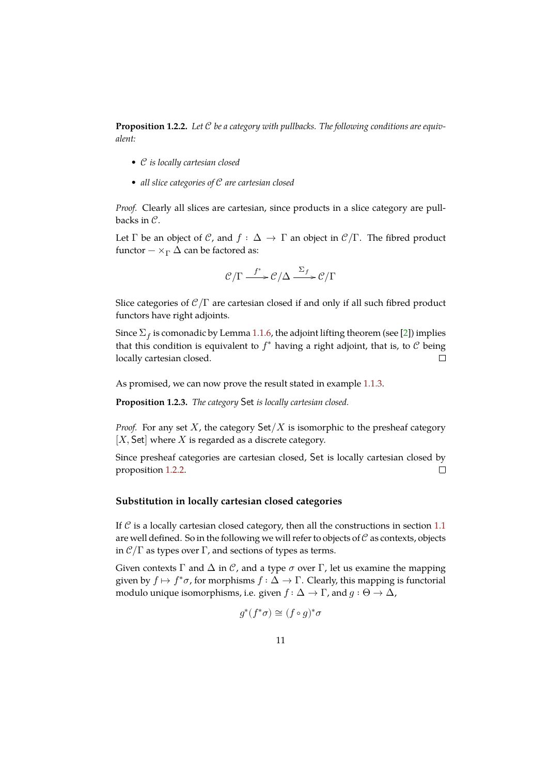Proposition 1.2.2. Let  $C$  be a category with pullbacks. The following conditions are equiv*alent:*

- *• is locally cartesian closed*
- *• all slice categories of are cartesian closed*

*Proof.* Clearly all slices are cartesian, since products in a slice category are pullbacks in  $\mathcal{C}$ .

Let  $\Gamma$  be an object of  $\mathcal{C}$ , and  $f : \Delta \to \Gamma$  an object in  $\mathcal{C}/\Gamma$ . The fibred product functor  $-\times_{\Gamma} \Delta$  can be factored as:

$$
\mathcal{C}/\Gamma \stackrel{f^*}{\longrightarrow} \mathcal{C}/\Delta \stackrel{\Sigma_f}{\longrightarrow} \mathcal{C}/\Gamma
$$

Slice categories of  $\mathcal{C}/\Gamma$  are cartesian closed if and only if all such fibred product functors have right adjoints.

Since  $\Sigma_f$  is comonadic by Lemma 1.1.6, the adjoint lifting theorem (see [2]) implies that this condition is equivalent to  $f^*$  having a right adjoint, that is, to  $\mathcal C$  being locally cartesian closed.  $\Box$ 

As promised, we can now prove t[he re](#page-10-1)sult stated in example 1.1.3.

**Proposition 1.2.3.** *The category* Set is locally cartesian closed.

<span id="page-11-0"></span>*Proof.* For any set  $X$ , the category  $\text{Set}/X$  is isomorphic to t[he pr](#page-9-1)esheaf category  $[X, Set]$  where  $X$  is regarded as a discrete category.

Since presheaf categories are cartesian closed, Set is locally cartesian closed by  $\Box$ proposition 1.2.2.

### **Substitution in locally cartesian closed categories**

If  $\mathcal C$  is a locally cartesian closed category, then all the constructions in section 1.1 are well defined. So in the following we will refer to objects of  $C$  as contexts, objects in  $\mathcal{C}/\Gamma$  as types over  $\Gamma$ , and sections of types as terms.

Given contexts  $\Gamma$  and  $\Delta$  in  $\mathcal{C}$ , and a type  $\sigma$  over  $\Gamma$ , let us examine the mapp[ing](#page-5-1) given by  $f \mapsto f^* \sigma$ , for morphisms  $f : \Delta \to \Gamma$ . Clearly, this mapping is functorial modulo unique isomorphisms, i.e. given  $f : \Delta \to \Gamma$ , and  $g : \Theta \to \Delta$ ,

$$
g^*(f^*\sigma)\cong (f\circ g)^*\sigma
$$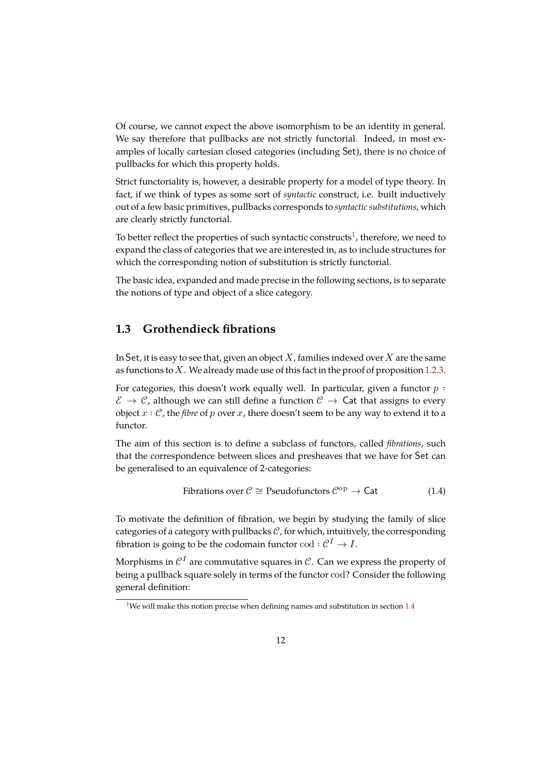Of course, we cannot expect the above isomorphism to be an identity in general. We say therefore that pullbacks are not strictly functorial. Indeed, in most examples of locally cartesian closed categories (including Set), there is no choice of pullbacks for which this property holds.

Strict functoriality is, however, a desirable property for a model of type theory. In fact, if we think of types as some sort of *syntactic* construct, i.e. built inductively out of a few basic primitives, pullbacks corresponds to *syntactic substitutions*, which are clearly strictly functorial.

To better reflect the properties of such syntactic constructs $^1$ , therefore, we need to expand the class of categories that we are interested in, as to include structures for which the corresponding notion of substitution is strictly functorial.

The basic idea, expanded and made precise in the followin[g](#page-12-1) sections, is to separate the notions of type and object of a slice category.

## **1.3 Grothendieck fibrations**

<span id="page-12-0"></span>In Set, it is easy to see that, given an object  $X$ , families indexed over  $X$  are the same as functions to  $X$ . We already made use of this fact in the proof of proposition 1.2.3.

For categories, this doesn't work equally well. In particular, given a functor  $p :$  $\mathcal{E} \to \mathcal{C}$ , although we can still define a function  $\mathcal{C} \to \mathsf{Cat}$  that assigns to every object  $x : \mathcal{C}$ , the *fibre* of p over  $x$ , there doesn't seem to be any way to extend [it to a](#page-11-0) functor.

The aim of this section is to define a subclass of functors, called *fibrations*, such that the correspondence between slices and presheaves that we have for Set can be generalised to an equivalence of 2-categories:

Fibrations over 
$$
\mathcal{C} \cong
$$
 Pseudofunctors  $\mathcal{C}^{\text{op}} \to \text{Cat}$  (1.4)

To motivate the definition of fibration, we begin by studying the family of slice categories of a category with pullbacks  $C$ , for which, intuitively, the corresponding fibration is going to be the codomain functor  $\text{cod} : \mathcal{C}^1 \to I$ .

Morphisms in  $\mathcal{C}^I$  are commutative squares in  $\mathcal{C}.$  Can we express the property of being a pullback square solely in terms of the functor cod? Consider the following general definition:

<span id="page-12-1"></span><sup>&</sup>lt;sup>1</sup>We will make this notion precise when defining names and substitution in section  $1.4$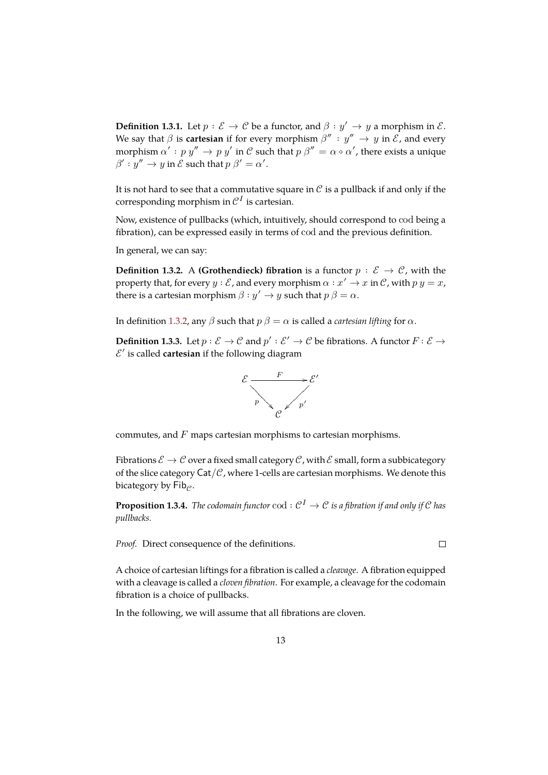**Definition 1.3.1.** Let  $p : \mathcal{E} \to \mathcal{C}$  be a functor, and  $\beta : y' \to y$  a morphism in  $\mathcal{E}$ . We say that  $\beta$  is **cartesian** if for every morphism  $\beta'' : y'' \to y$  in  $\mathcal{E}$ , and every morphism  $\alpha': p\ y'' \to p\ y'$  in  $\mathcal C$  such that  $p\ \beta'' = \alpha \circ \alpha'$ , there exists a unique  $\beta': y'' \to y$  in  $\mathcal E$  such that  $p \beta' = \alpha'.$ 

It is not hard to see that a commutative square in  $\mathcal C$  is a pullback if and only if the corresponding morphism in  $\mathcal{C}^I$  is cartesian.

Now, existence of pullbacks (which, intuitively, should correspond to cod being a fibration), can be expressed easily in terms of cod and the previous definition.

In general, we can say:

**Definition 1.3.2.** A **(Grothendieck) fibration** is a functor  $p : \mathcal{E} \to \mathcal{C}$ , with the property that, for every  $y : \mathcal{E}$ , and every morphism  $\alpha : x' \to x$  in  $\mathcal{C}$ , with  $p y = x$ , there is a cartesian morphism  $\beta : y' \to y$  such that  $p \beta = \alpha$ .

In definition 1.3.2, any  $\beta$  such that  $p \beta = \alpha$  is called a *cartesian lifting* for  $\alpha$ .

**Definition 1.3.3.** Let  $p: \mathcal{E} \to \mathcal{C}$  and  $p': \mathcal{E}' \to \mathcal{C}$  be fibrations. A functor  $F: \mathcal{E} \to \mathcal{C}$  $\mathcal{E}'$  is called **cartesian** if the following diagram



commutes, and  $F$  maps cartesian morphisms to cartesian morphisms.

Fibrations  $\mathcal{E} \to \mathcal{C}$  over a fixed small category  $\mathcal{C}$ , with  $\mathcal{E}$  small, form a subbicategory of the slice category  $\text{Cat}/\mathcal{C}$ , where 1-cells are cartesian morphisms. We denote this bicategory by  $\mathsf{Fib}_{\rho}$ .

**Proposition 1.3.4.** *The codomain functor*  $\text{cod} : \mathcal{C}^I \to \mathcal{C}$  *is a fibration if and only if*  $\mathcal{C}$  *has pullbacks.*

 $\Box$ 

*Proof.* Direct consequence of the definitions.

A choice of cartesian liftings for a fibration is called a *cleavage*. A fibration equipped with a cleavage is called a *cloven fibration*. For example, a cleavage for the codomain fibration is a choice of pullbacks.

In the following, we will assume that all fibrations are cloven.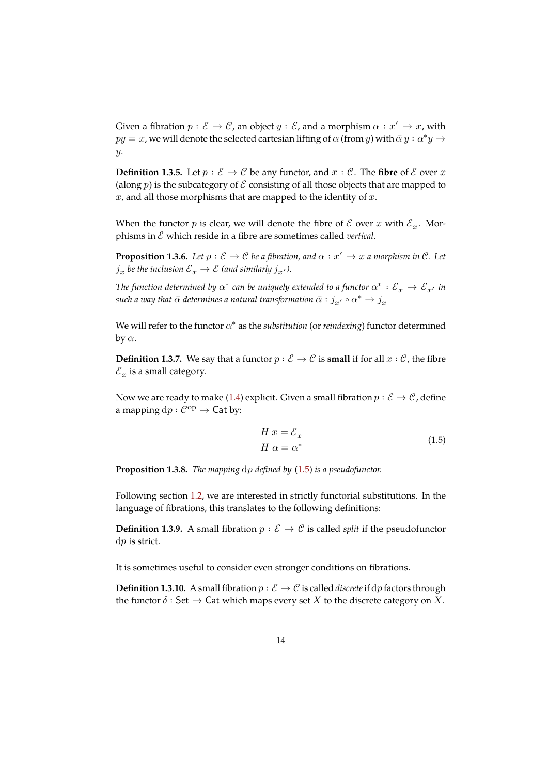Given a fibration  $p : \mathcal{E} \to \mathcal{C}$ , an object  $y : \mathcal{E}$ , and a morphism  $\alpha : x' \to x$ , with  $py = x$ , we will denote the selected cartesian lifting of  $\alpha$  (from y) with  $\bar{\alpha} y : \alpha^* y \rightarrow$ .

**Definition 1.3.5.** Let  $p : \mathcal{E} \to \mathcal{C}$  be any functor, and  $x : \mathcal{C}$ . The fibre of  $\mathcal{E}$  over  $x$ (along  $p$ ) is the subcategory of  $\mathcal E$  consisting of all those objects that are mapped to  $x$ , and all those morphisms that are mapped to the identity of  $x$ .

When the functor  $p$  is clear, we will denote the fibre of  $\mathcal E$  over  $x$  with  $\mathcal E_x$ . Morphisms in ℰ which reside in a fibre are sometimes called *vertical*.

**Proposition 1.3.6.** *Let*  $p : \mathcal{E} \to \mathcal{C}$  *be a fibration, and*  $\alpha : x' \to x$  *a morphism in*  $\mathcal{C}$ *. Let*  $j_x$  be the inclusion  ${\mathcal E}_x \to {\mathcal E}$  (and similarly  $j_{x'}$ ).

The function determined by  $\alpha^*$  can be uniquely extended to a functor  $\alpha^*:\mathcal{E}_x\to\mathcal{E}_{x'}$  in *such a way that*  $\bar{\alpha}$  *determines a natural transformation*  $\bar{\alpha} : j_{x'} \circ \alpha^* \to j_{x}$ 

We will refer to the functor  $\alpha^*$  as the *substitution* (or *reindexing*) functor determined by  $\alpha$ .

**Definition 1.3.7.** We say that a functor  $p : \mathcal{E} \to \mathcal{C}$  is **small** if for all  $x : \mathcal{C}$ , the fibre  $\mathcal{E}_x$  is a small category.

Now we are ready to make (1.4) explicit. Given a small fibration  $p : \mathcal{E} \to \mathcal{C}$ , define a mapping  $dp : C^{op} \rightarrow$  Cat by:

<span id="page-14-0"></span>
$$
H x = \mathcal{E}_x
$$
  
\n
$$
H \alpha = \alpha^*
$$
\n(1.5)

**Proposition 1.3.8.** *The mapping dp defined by* (1.5) *is a pseudofunctor.* 

<span id="page-14-1"></span>Following section 1.2, we are interested in strictly functorial substitutions. In the language of fibrations, this translates to the f[ollo](#page-14-0)wing definitions:

**Definition 1.3.9.** A small fibration  $p : \mathcal{E} \to \mathcal{C}$  is called *split* if the pseudofunctor  $dp$  is strict.

It is sometimes useful to consider even stronger conditions on fibrations.

**Definition 1.3.10.** A small fibration  $p : \mathcal{E} \to \mathcal{C}$  is called *discrete* if dp factors through the functor  $\delta:$  Set  $\to$  Cat which maps every set X to the discrete category on X.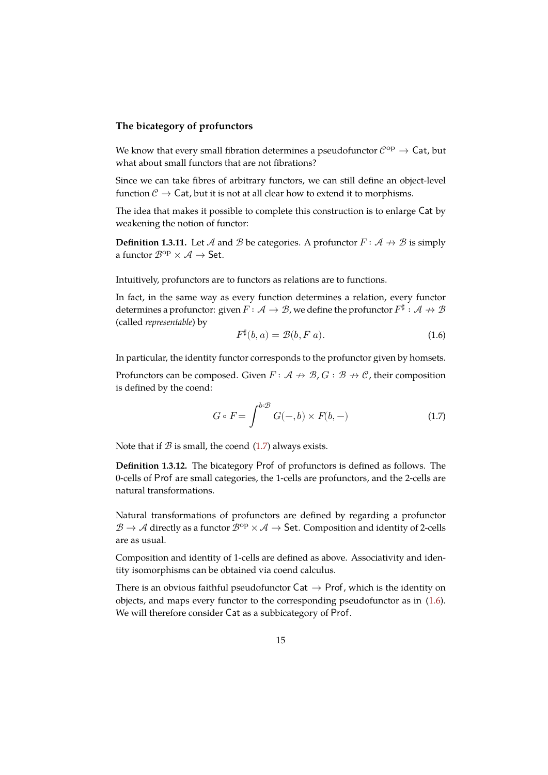### **The bicategory of profunctors**

We know that every small fibration determines a pseudofunctor  $\mathcal{C}^{\text{op}} \to \textsf{Cat}$ , but what about small functors that are not fibrations?

Since we can take fibres of arbitrary functors, we can still define an object-level function  $\mathcal{C} \to \mathsf{Cat}$ , but it is not at all clear how to extend it to morphisms.

The idea that makes it possible to complete this construction is to enlarge Cat by weakening the notion of functor:

**Definition 1.3.11.** Let A and B be categories. A profunctor  $F: A \nrightarrow B$  is simply a functor  $\mathcal{B}^{op} \times \mathcal{A} \rightarrow$  Set.

Intuitively, profunctors are to functors as relations are to functions.

In fact, in the same way as every function determines a relation, every functor determines a profunctor: given  $F\colon \mathcal{A}\to\mathcal{B}$ , we define the profunctor  $F^{\sharp}:\mathcal{A}\nrightarrow\mathcal{B}$ (called *representable*) by

$$
F^{\sharp}(b,a) = \mathcal{B}(b, F\,a). \tag{1.6}
$$

In particular, the identity functor corresponds to the profunctor given by homsets.

Profunctors can be composed. Given  $F: A \nrightarrow \mathcal{B}, G: B \nrightarrow \mathcal{C}$ , their composition is defined by the coend:

$$
G \circ F = \int^{b:\mathcal{B}} G(-,b) \times F(b,-) \tag{1.7}
$$

Note that if  $B$  is small, the coend (1.7) always exists.

**Definition 1.3.12.** The bicategory Prof of profunctors is defined as follows. The 0-cells of Prof are small categories, the 1-cells are profunctors, and the 2-cells are natural transformations.

Natural transformations of profunctors are defined by regarding a profunctor  $\mathcal{B} \to \mathcal{A}$  directly as a functor  $\mathcal{B}^{op} \times \mathcal{A} \to$  Set. Composition and identity of 2-cells are as usual.

Composition and identity of 1-cells are defined as above. Associativity and identity isomorphisms can be obtained via coend calculus.

There is an obvious faithful pseudofunctor  $Cat \rightarrow Prof$ , which is the identity on objects, and maps every functor to the corresponding pseudofunctor as in (1.6). We will therefore consider Cat as a subbicategory of Prof.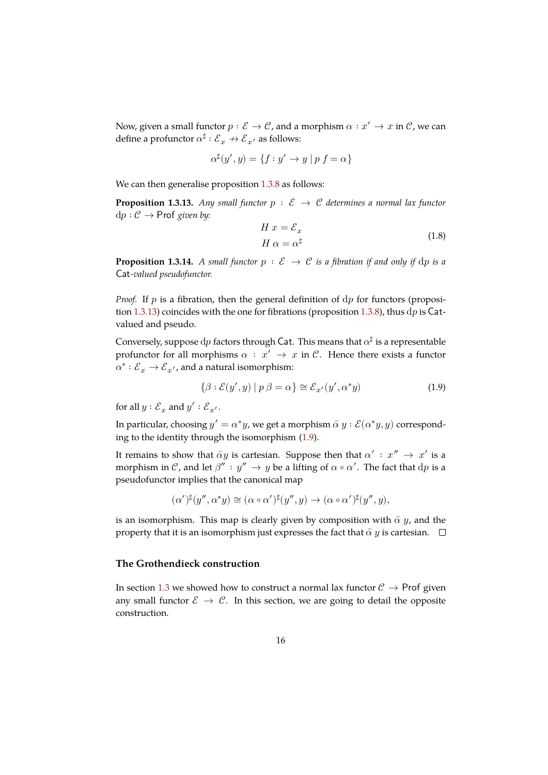Now, given a small functor  $p : \mathcal{E} \to \mathcal{C}$ , and a morphism  $\alpha : x' \to x$  in  $\mathcal{C}$ , we can define a profunctor  $\alpha^\sharp : {\mathcal E}_x \to {\mathcal E}_{x'}$  as follows:

$$
\alpha^{\sharp}(y', y) = \{ f : y' \to y \mid p f = \alpha \}
$$

We can then generalise proposition 1.3.8 as follows:

**Proposition 1.3.13.** Any small functor  $p : \mathcal{E} \to \mathcal{C}$  determines a normal lax functor  $dp : C \rightarrow$  **Prof** given by:

$$
H x = \mathcal{E}_x
$$
  
\n
$$
H \alpha = \alpha^{\sharp}
$$
\n(1.8)

<span id="page-16-0"></span>**Proposition 1.3.14.** *A small functor*  $p : \mathcal{E} \to \mathcal{C}$  *is a fibration if and only if* dp *is a -valued pseudofunctor.*

*Proof.* If  $p$  is a fibration, then the general definition of  $dp$  for functors (proposition 1.3.13) coincides with the one for fibrations (proposition 1.3.8), thus  $dp$  is  $Cat$ valued and pseudo.

Conversely, suppose  $\mathrm{d} p$  factors through Cat. This means that  $\alpha^\sharp$  is a representable prof[unctor](#page-16-0) for all morphisms  $\alpha : x' \rightarrow x$  in  $\mathcal{C}$ . Hence t[here](#page-14-1) exists a functor  $\alpha^*: {\mathcal E}_x \to {\mathcal E}_{x'}$ , and a natural isomorphism:

<span id="page-16-1"></span>
$$
\{\beta : \mathcal{E}(y', y) \mid p \beta = \alpha\} \cong \mathcal{E}_{x'}(y', \alpha^* y)
$$
\n(1.9)

for all  $y : \mathcal{E}_x$  and  $y' : \mathcal{E}_{x'}$ .

In particular, choosing  $y' = \alpha^*y$ , we get a morphism  $\bar{\alpha} \, y : \mathcal{E}(\alpha^*y, y)$  corresponding to the identity through the isomorphism (1.9).

It remains to show that  $\bar{\alpha}y$  is cartesian. Suppose then that  $\alpha' \, : \, x'' \, \rightarrow \, x'$  is a morphism in  $\mathcal C$ , and let  $\beta'': y'' \to y$  be a lifting of  $\alpha \circ \alpha'.$  The fact that  $\mathrm{d} p$  is a pseudofunctor implies that the canonical ma[p](#page-16-1)

$$
(\alpha')^{\sharp}(y'', \alpha^*y) \cong (\alpha \circ \alpha')^{\sharp}(y'', y) \to (\alpha \circ \alpha')^{\sharp}(y'', y),
$$

is an isomorphism. This map is clearly given by composition with  $\bar{\alpha}$  y, and the property that it is an isomorphism just expresses the fact that  $\bar{\alpha}$  y is cartesian.  $\Box$ 

### **The Grothendieck construction**

In section 1.3 we showed how to construct a normal lax functor  $C \rightarrow$  Prof given any small functor  $\mathcal{E} \to \mathcal{C}$ . In this section, we are going to detail the opposite construction.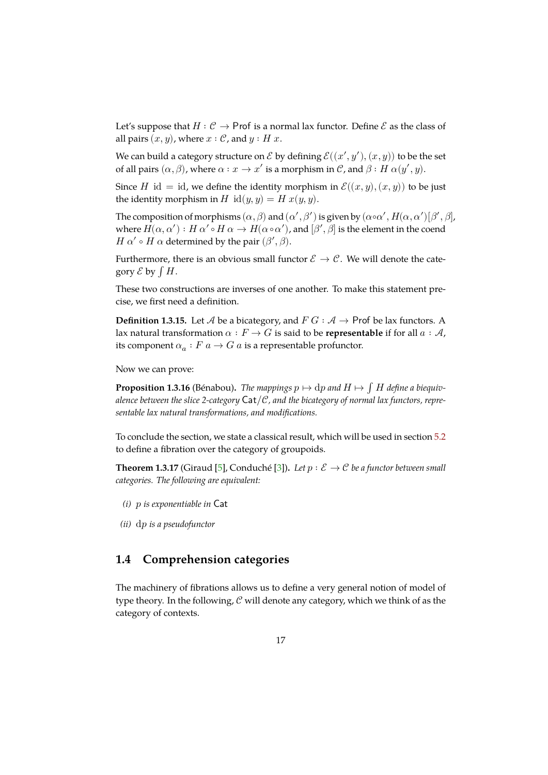Let's suppose that  $H : \mathcal{C} \to \mathsf{Prof}$  is a normal lax functor. Define  $\mathcal E$  as the class of all pairs  $(x, y)$ , where  $x : \mathcal{C}$ , and  $y : H x$ .

We can build a category structure on  $\mathcal E$  by defining  $\mathcal E((x',y'),(x,y))$  to be the set of all pairs  $(\alpha, \beta)$ , where  $\alpha : x \to x'$  is a morphism in  $\mathcal{C}$ , and  $\beta : H \alpha(y', y)$ .

Since *H* id = id, we define the identity morphism in  $\mathcal{E}((x, y), (x, y))$  to be just the identity morphism in  $H$  id $(y, y) = H x(y, y)$ .

The composition of morphisms  $(\alpha, \beta)$  and  $(\alpha', \beta')$  is given by  $(\alpha \circ \alpha', H(\alpha, \alpha')[\beta', \beta],$ where  $H(\alpha, \alpha'): H \alpha' \circ H \alpha \to H(\alpha \circ \alpha'),$  and  $[\beta', \beta]$  is the element in the coend *H*  $\alpha' \circ H \alpha$  determined by the pair  $(\beta', \beta)$ .

Furthermore, there is an obvious small functor  $\mathcal{E} \to \mathcal{C}$ . We will denote the category  $\mathcal E$  by  $\int H$ .

These two constructions are inverses of one another. To make this statement precise, we first need a definition.

**Definition 1.3.15.** Let  $\mathcal A$  be a bicategory, and  $F G : \mathcal A \rightarrow$  Prof be lax functors. A lax natural transformation  $\alpha$  :  $F \to G$  is said to be **representable** if for all  $a : A$ , its component  $\alpha_a : F\,a \to G\,a$  is a representable profunctor.

Now we can prove:

**Proposition 1.3.16** (Bénabou). The mappings  $p \mapsto dp$  and  $H \mapsto \int H$  define a biequivalence between the slice 2-category  $\text{Cat}/\mathcal{C}$ , and the bicategory of normal lax functors, repre*sentable lax natural transformations, and modifications.*

To conclude the section, we state a classical result, which will be used in section 5.2 to define a fibration over the category of groupoids.

**Theorem 1.3.17** (Giraud [5], Conduché [3]). *Let*  $p : \mathcal{E} \to \mathcal{C}$  *be a functor between small categories. The following are equivalent:*

- <span id="page-17-1"></span>*(i) is exponentiable in*
- *(ii)* dp *is a pseudofunctor*

## **1.4 Comprehension categories**

<span id="page-17-0"></span>The machinery of fibrations allows us to define a very general notion of model of type theory. In the following,  $\mathcal C$  will denote any category, which we think of as the category of contexts.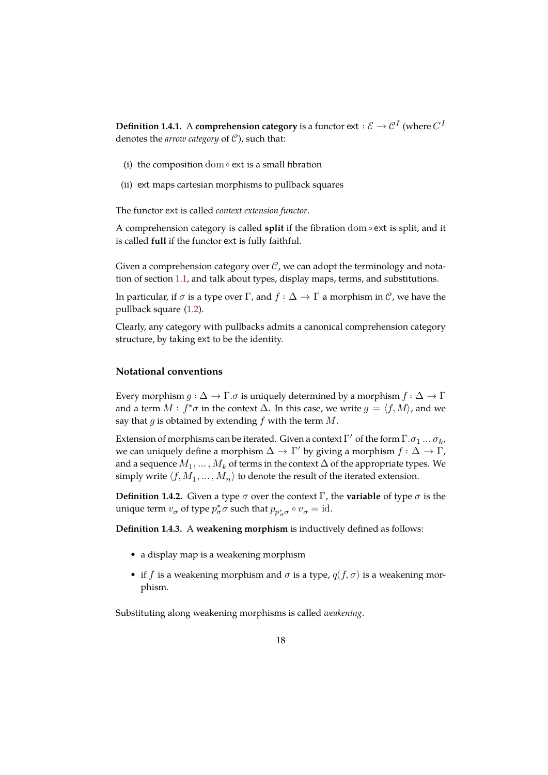$\bf{Definition 1.4.1.} \,\, A \, comprehension \, category \, is \, a \, functor \, {\mathop{\rm ext}}: \mathcal{E} \to \mathcal{C}^I \, (where \, C^I)$ denotes the *arrow category* of  $C$ ), such that:

- (i) the composition dom ∘ ext is a small fibration
- (ii) ext maps cartesian morphisms to pullback squares

The functor ext is called *context extension functor*.

A comprehension category is called **split** if the fibration dom ∘ ext is split, and it is called **full** if the functor ext is fully faithful.

Given a comprehension category over  $\mathcal{C}$ , we can adopt the terminology and notation of section 1.1, and talk about types, display maps, terms, and substitutions.

In particular, if  $\sigma$  is a type over  $\Gamma$ , and  $f : \Delta \to \Gamma$  a morphism in  $\mathcal{C}$ , we have the pullback square (1.2).

Clearly, any ca[teg](#page-5-1)ory with pullbacks admits a canonical comprehension category structure, by taking ext to be the identity.

#### **Notational conventions**

<span id="page-18-0"></span>Every morphism  $g : \Delta \to \Gamma$ .  $\sigma$  is uniquely determined by a morphism  $f : \Delta \to \Gamma$ and a term  $M : f^*\sigma$  in the context  $\Delta$ . In this case, we write  $g = \langle f, M \rangle$ , and we say that g is obtained by extending  $f$  with the term  $M$ .

Extension of morphisms can be iterated. Given a context  $\Gamma'$  of the form  $\Gamma.\sigma_1\,...\,\sigma_k$ , we can uniquely define a morphism  $\Delta \to \Gamma'$  by giving a morphism  $f : \Delta \to \Gamma$ , and a sequence  $M_1,\ldots,M_k$  of terms in the context  $\Delta$  of the appropriate types. We simply write  $\langle f,M_1,\ldots,M_n\rangle$  to denote the result of the iterated extension.

**Definition 1.4.2.** Given a type  $\sigma$  over the context  $\Gamma$ , the **variable** of type  $\sigma$  is the unique term  $v_{\sigma}$  of type  $p_{\sigma}^* \sigma$  such that  $p_{p_{\sigma}^* \sigma} \circ v_{\sigma} = \text{id}$ .

**Definition 1.4.3.** A **weakening morphism** is inductively defined as follows:

- a display map is a weakening morphism
- if *f* is a weakening morphism and  $\sigma$  is a type,  $q(f, \sigma)$  is a weakening morphism.

Substituting along weakening morphisms is called *weakening*.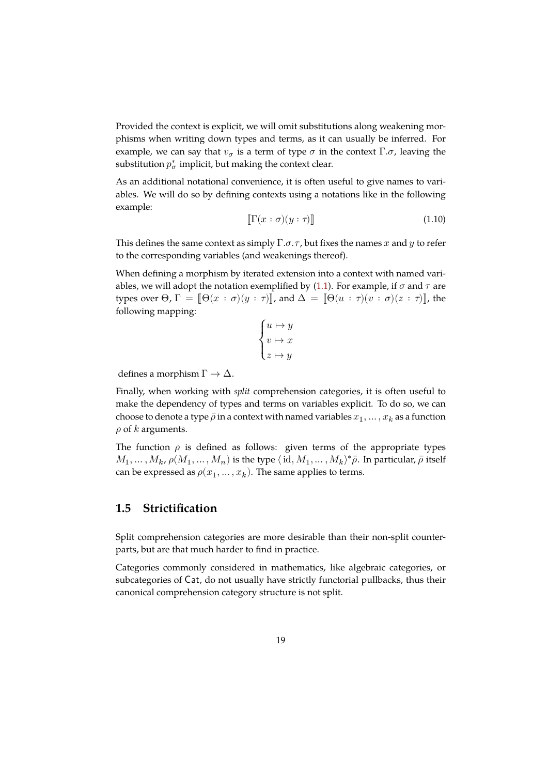Provided the context is explicit, we will omit substitutions along weakening morphisms when writing down types and terms, as it can usually be inferred. For example, we can say that  $v_{\sigma}$  is a term of type  $\sigma$  in the context  $\Gamma.\sigma$ , leaving the substitution  $p^*_{\sigma}$  implicit, but making the context clear.

As an additional notational convenience, it is often useful to give names to variables. We will do so by defining contexts using a notations like in the following example:

$$
\llbracket \Gamma(x:\sigma)(y:\tau) \rrbracket \tag{1.10}
$$

This defines the same context as simply  $\Gamma$ . $\sigma$ . $\tau$ , but fixes the names  $x$  and  $y$  to refer to the corresponding variables (and weakenings thereof).

When defining a morphism by iterated extension into a context with named variables, we will adopt the notation exemplified by (1.1). For example, if  $\sigma$  and  $\tau$  are types over  $\Theta$ ,  $\Gamma = \|\Theta(x : \sigma)(y : \tau)\|$ , and  $\Delta = \|\Theta(u : \tau)(v : \sigma)(z : \tau)\|$ , the following mapping:

$$
\begin{cases} u \mapsto y \\ v \mapsto x \\ z \mapsto y \end{cases}
$$

defines a morphism  $\Gamma \to \Delta$ .

Finally, when working with *split* comprehension categories, it is often useful to make the dependency of types and terms on variables explicit. To do so, we can choose to denote a type  $\bar{\rho}$  in a context with named variables  $x_1, \dots, x_k$  as a function  $\rho$  of  $k$  arguments.

The function  $\rho$  is defined as follows: given terms of the appropriate types  $M_1,\ldots,M_k$ ,  $\rho(M_1,\ldots,M_n)$  is the type  $\langle$  id,  $M_1,\ldots,M_k\rangle^*\bar{\rho}.$  In particular,  $\bar{\rho}$  itself can be expressed as  $\rho(x_1,\ldots,x_k)$ . The same applies to terms.

## **1.5 Strictification**

<span id="page-19-0"></span>Split comprehension categories are more desirable than their non-split counterparts, but are that much harder to find in practice.

Categories commonly considered in mathematics, like algebraic categories, or subcategories of Cat, do not usually have strictly functorial pullbacks, thus their canonical comprehension category structure is not split.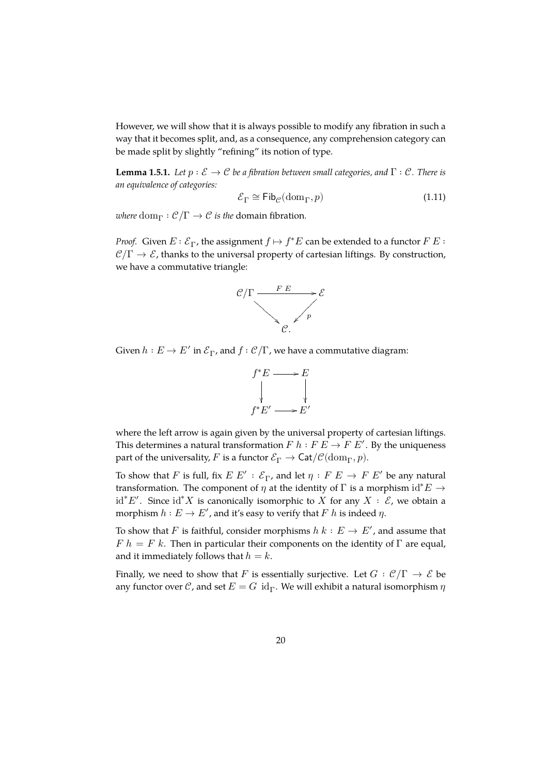However, we will show that it is always possible to modify any fibration in such a way that it becomes split, and, as a consequence, any comprehension category can be made split by slightly "refining" its notion of type.

<span id="page-20-0"></span>**Lemma 1.5.1.** *Let*  $p : \mathcal{E} \to \mathcal{C}$  *be a fibration between small categories, and*  $\Gamma : \mathcal{C}$ *. There is an equivalence of categories:*

$$
\mathcal{E}_{\Gamma} \cong \mathsf{Fib}_{\mathcal{C}}(\mathrm{dom}_{\Gamma}, p) \tag{1.11}
$$

*where*  $dom_{\Gamma}: \mathcal{C}/\Gamma \to \mathcal{C}$  *is the* domain fibration.

*Proof.* Given  $E : \mathcal{E}_{\Gamma}$ , the assignment  $f \mapsto f^*E$  can be extended to a functor  $F E$ :  $\mathcal{C}/\Gamma \to \mathcal{E}$ , thanks to the universal property of cartesian liftings. By construction, we have a commutative triangle:



Given  $h:E\to E'$  in  ${\mathcal E}_\Gamma$ , and  $f:{\mathcal C}/\Gamma$ , we have a commutative diagram:



where the left arrow is again given by the universal property of cartesian liftings. This determines a natural transformation  $F h : F E \to F E'$ . By the uniqueness part of the universality, F is a functor  $\mathcal{E}_{\Gamma} \to \text{Cat}/\mathcal{C}(\text{dom}_{\Gamma}, p)$ .

To show that  $F$  is full, fix  $E \ E' : \mathcal{E}_{\Gamma}$ , and let  $\eta : F \ E \to F \ E'$  be any natural transformation. The component of  $\eta$  at the identity of  $\Gamma$  is a morphism id<sup>\*</sup> $E \rightarrow$  $\mathrm{id}^* E'$ . Since  $\mathrm{id}^* X$  is canonically isomorphic to  $\hat{X}$  for any  $X : \hat{\mathcal{E}}$ , we obtain a morphism  $h:E\to E'$  , and it's easy to verify that  $F$   $h$  is indeed  $\eta.$ 

To show that F is faithful, consider morphisms  $h \; k : E \to E'$ , and assume that  $F h = F k$ . Then in particular their components on the identity of  $\Gamma$  are equal, and it immediately follows that  $h = k$ .

Finally, we need to show that F is essentially surjective. Let  $G : \mathcal{C}/\Gamma \to \mathcal{E}$  be any functor over  $\mathcal{C}$ , and set  $E = G$  id<sub> $\Gamma$ </sub>. We will exhibit a natural isomorphism  $\eta$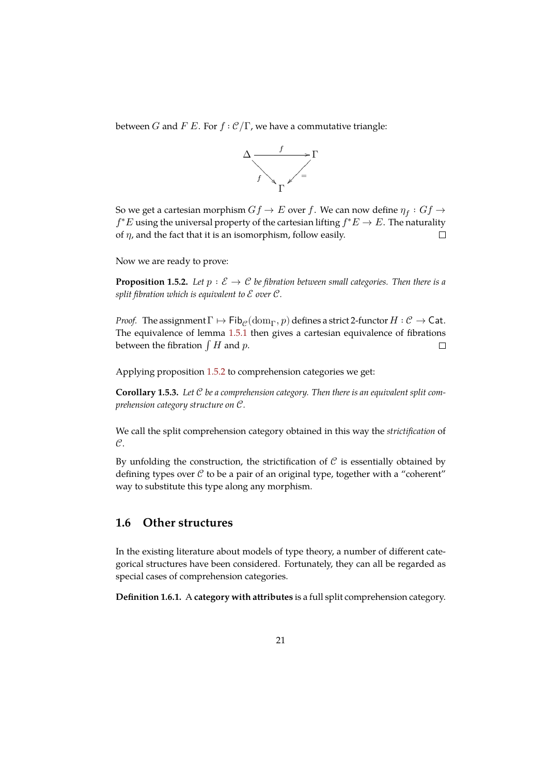between *G* and *F E*. For  $f : C/\Gamma$ , we have a commutative triangle:



So we get a cartesian morphism  $Gf\rightarrow E$  over  $f.$  We can now define  $\eta_{f}:Gf\rightarrow \mathbb{R}$  $f^*E$  using the universal property of the cartesian lifting  $f^*E \to E$ . The naturality of  $\eta$ , and the fact that it is an isomorphism, follow easily.  $\Box$ 

Now we are ready to prove:

**Proposition 1.5.2.** Let  $p : \mathcal{E} \to \mathcal{C}$  be fibration between small categories. Then there is a *split fibration which is equivalent to*  $\mathcal E$  *over*  $\mathcal C$ *.* 

<span id="page-21-1"></span>*Proof.* The assignment  $\Gamma \mapsto \mathsf{Fib}_{\mathcal{C}}(\text{dom}_{\Gamma}, p)$  defines a strict 2-functor  $H : \mathcal{C} \to \mathsf{Cat}$ . The equivalence of lemma 1.5.1 then gives a cartesian equivalence of fibrations between the fibration  $\int H$  and  $p$ .  $\Box$ 

Applying proposition 1.5.2 [to com](#page-20-0)prehension categories we get:

**Corollary 1.5.3.** *Let be a comprehension category. Then there is an equivalent split comprehension category structure on C.* 

We call the split comprehension category obtained in this way the *strictification* of  $\mathcal{C}$ .

By unfolding the construction, the strictification of  $\mathcal C$  is essentially obtained by defining types over  $\mathcal C$  to be a pair of an original type, together with a "coherent" way to substitute this type along any morphism.

### **1.6 Other structures**

<span id="page-21-0"></span>In the existing literature about models of type theory, a number of different categorical structures have been considered. Fortunately, they can all be regarded as special cases of comprehension categories.

**Definition 1.6.1.** A **category with attributes** is a full split comprehension category.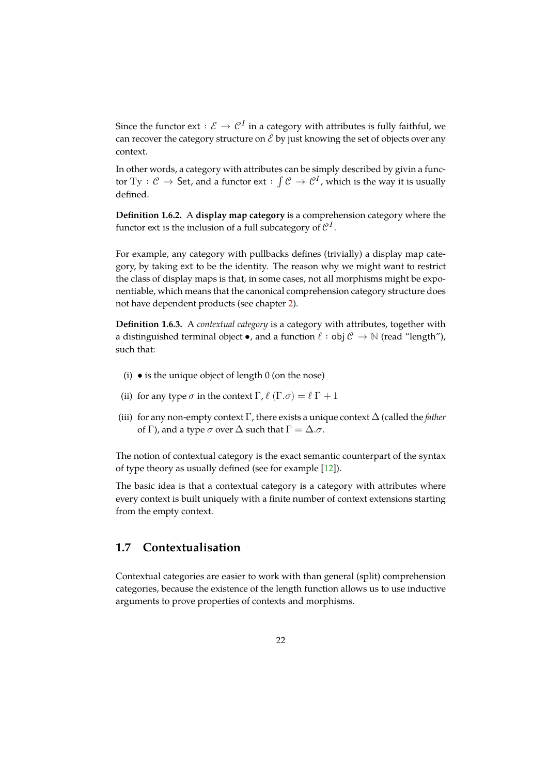Since the functor  $ext: \mathcal{E} \rightarrow \mathcal{C}^I$  in a category with attributes is fully faithful, we can recover the category structure on  $\mathcal E$  by just knowing the set of objects over any context.

In other words, a category with attributes can be simply described by givin a functor  $\mathrm{Ty}:\mathcal C \to \mathsf{Set}$ , and a functor  $\mathrm{ext}:\int \mathcal C \to \mathcal C^I$ , which is the way it is usually defined.

**Definition 1.6.2.** A **display map category** is a comprehension category where the functor ext is the inclusion of a full subcategory of  $\mathcal{C}^I.$ 

For example, any category with pullbacks defines (trivially) a display map category, by taking ext to be the identity. The reason why we might want to restrict the class of display maps is that, in some cases, not all morphisms might be exponentiable, which means that the canonical comprehension category structure does not have dependent products (see chapter 2).

**Definition 1.6.3.** A *contextual category* is a category with attributes, together with a distinguished terminal object •, and a f[un](#page-25-0)ction  $\ell :$  obj  $\mathcal{C} \to \mathbb{N}$  (read "length"), such that:

- (i)  $\bullet$  is the unique object of length 0 (on the nose)
- (ii) for any type  $\sigma$  in the context  $\Gamma$ ,  $\ell$  ( $\Gamma$ . $\sigma$ ) =  $\ell \Gamma$  + 1
- (iii) for any non-empty context  $\Gamma$ , there exists a unique context  $\Delta$  (called the *father* of Γ), and a type  $\sigma$  over  $\Delta$  such that  $\Gamma = \Delta \cdot \sigma$ .

The notion of contextual category is the exact semantic counterpart of the syntax of type theory as usually defined (see for example [12]).

The basic idea is that a contextual category is a category with attributes where every context is built uniquely with a finite number of context extensions starting from the empty context.

## **1.7 Contextualisation**

<span id="page-22-0"></span>Contextual categories are easier to work with than general (split) comprehension categories, because the existence of the length function allows us to use inductive arguments to prove properties of contexts and morphisms.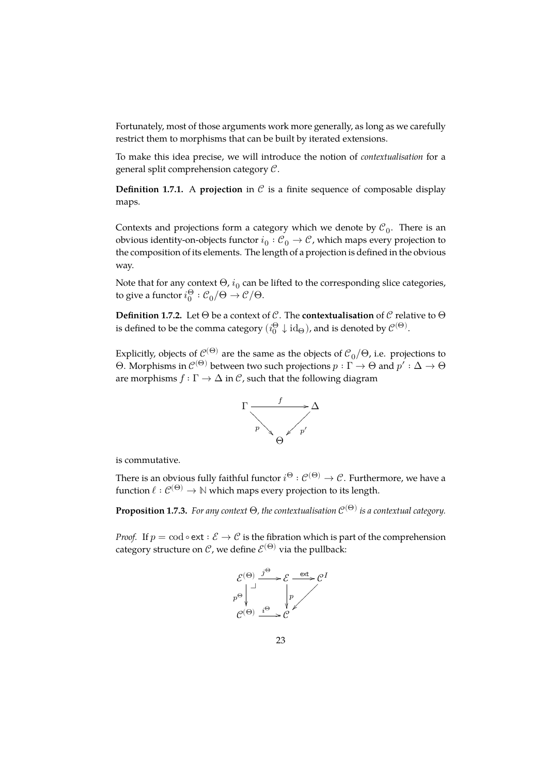Fortunately, most of those arguments work more generally, as long as we carefully restrict them to morphisms that can be built by iterated extensions.

To make this idea precise, we will introduce the notion of *contextualisation* for a general split comprehension category  $C$ .

**Definition 1.7.1.** A **projection** in  $C$  is a finite sequence of composable display maps.

Contexts and projections form a category which we denote by  $\mathcal{C}_0$ . There is an obvious identity-on-objects functor  $i_0: {\mathcal{C}}_0 \to {\mathcal{C}}$ , which maps every projection to the composition of its elements. The length of a projection is defined in the obvious way.

Note that for any context  $\Theta$ ,  $i_0$  can be lifted to the corresponding slice categories, to give a functor  $i_0^\Theta:\mathcal{C}_0/\Theta\to\mathcal{C}/\Theta.$ 

**Definition 1.7.2.** Let  $\Theta$  be a context of  $\mathcal{C}$ . The **contextualisation** of  $\mathcal{C}$  relative to  $\Theta$ is defined to be the comma category  $(i^\Theta_0\downarrow \mathrm{id}_\Theta)$ , and is denoted by  $\mathcal{C}^{(\Theta)}.$ 

Explicitly, objects of  $\mathcal{C}^{(\Theta)}$  are the same as the objects of  $\mathcal{C}_0/\Theta$ , i.e. projections to Θ. Morphisms in  $\mathcal{C}^{(\Theta)}$  between two such projections  $p:\Gamma\to\Theta$  and  $p':\Delta\to\Theta$ are morphisms  $f : \Gamma \to \Delta$  in  $\mathcal{C}$ , such that the following diagram



is commutative.

There is an obvious fully faithful functor  $i^{\Theta}:\mathcal{C}^{(\Theta)}\to\mathcal{C}.$  Furthermore, we have a function  $\ell : \mathcal{C}^{(\Theta)} \to \mathbb{N}$  which maps every projection to its length.

 ${\bf Proposition \ 1.7.3.}$  *For any context*  $\Theta$ *, the contextualisation*  $\mathcal{C}^{(\Theta)}$  *is a contextual category.* 

*Proof.* If  $p = \text{cod} \circ \text{ext} : \mathcal{E} \to \mathcal{C}$  is the fibration which is part of the comprehension category structure on  $\mathcal C$ , we define  $\mathcal E^{(\Theta)}$  via the pullback:

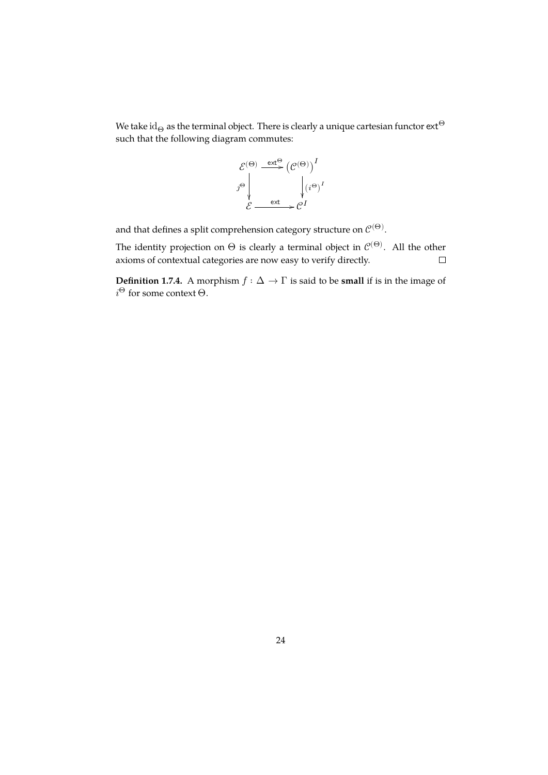We take id<sub> $\Theta$ </sub> as the terminal object. There is clearly a unique cartesian functor  $ext{e}^{\Theta}$ such that the following diagram commutes:



and that defines a split comprehension category structure on  $\mathcal{C}^{(\Theta)}$ .

The identity projection on  $\Theta$  is clearly a terminal object in  $\mathcal{C}^{(\Theta)}.$  All the other axioms of contextual categories are now easy to verify directly.  $\Box$ 

**Definition 1.7.4.** A morphism  $f : \Delta \to \Gamma$  is said to be **small** if is in the image of  $i^{\Theta}$  for some context  $\Theta$ .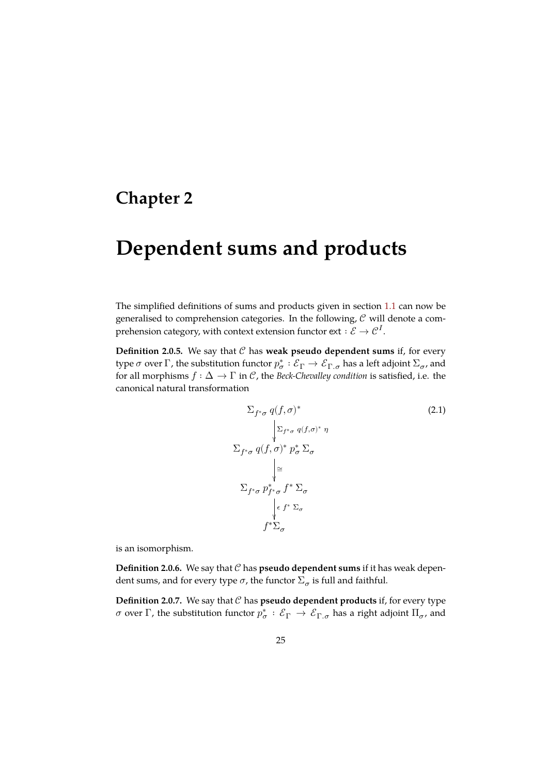# <span id="page-25-0"></span>**Chapter 2**

# **Dependent sums and products**

The simplified definitions of sums and products given in section 1.1 can now be generalised to comprehension categories. In the following,  $C$  will denote a comprehension category, with context extension functor  ${\rm ext} : \mathcal{E} \to \mathcal{C}^I.$ 

**Definition 2.0.5.** We say that  $C$  has **weak pseudo dependent su[ms](#page-5-1)** if, for every type  $\sigma$  over  $\Gamma$ , the substitution functor  $p^*_\sigma:\mathcal{E}_\Gamma\to\mathcal{E}_{\Gamma.\sigma}$  has a left adjoint  $\Sigma_\sigma$ , and for all morphisms  $f : \Delta \to \Gamma$  in C, the *Beck-Chevalley condition* is satisfied, i.e. the canonical natural transformation

$$
\sum_{f^*\sigma} q(f, \sigma)^*
$$
\n
$$
\sum_{f^*\sigma} q(f, \sigma)^* \eta
$$
\n
$$
\sum_{f^*\sigma} q(f, \sigma)^* p^*_{\sigma} \sum_{\sigma}
$$
\n
$$
\Big| \approx
$$
\n
$$
\sum_{f^*\sigma} p^*_{f^*\sigma} f^* \sum_{\sigma}
$$
\n
$$
\Big| \epsilon f^* \sum_{\sigma}
$$
\n
$$
f^* \sum_{\sigma}
$$

is an isomorphism.

**Definition 2.0.6.** We say that  $C$  has **pseudo dependent sums** if it has weak dependent sums, and for every type  $\sigma$ , the functor  $\Sigma_{\sigma}$  is full and faithful.

**Definition 2.0.7.** We say that  $C$  has **pseudo dependent products** if, for every type σ over Γ, the substitution functor  $p^*_\sigma: \mathcal{E}_\Gamma \to \mathcal{E}_{\Gamma,\sigma}$  has a right adjoint  $\Pi_\sigma$ , and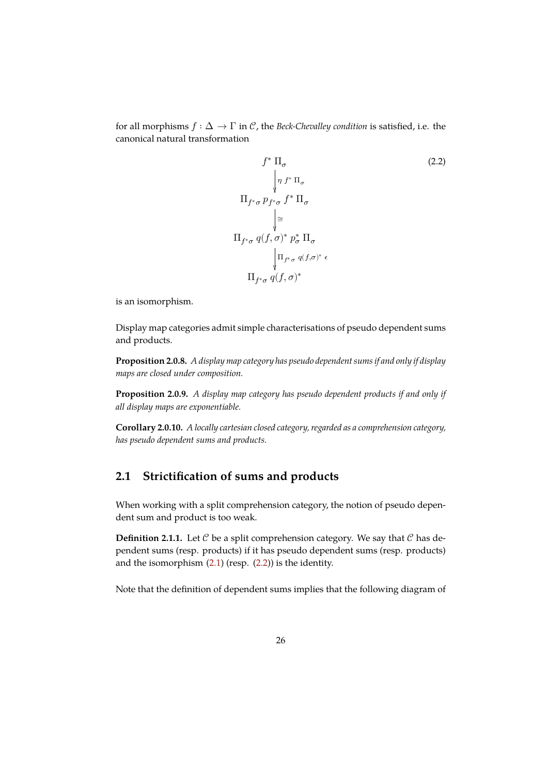for all morphisms  $f : \Delta \to \Gamma$  in C, the *Beck-Chevalley condition* is satisfied, i.e. the canonical natural transformation

$$
f^* \Pi_{\sigma}
$$
\n
$$
\begin{array}{c}\n\int_{\gamma} f^* \Pi_{\sigma} \\
\eta f^* \Pi_{\sigma}\n\end{array}
$$
\n
$$
\Pi_{f^* \sigma} p_{f^* \sigma} f^* \Pi_{\sigma}
$$
\n
$$
\begin{array}{c}\n\bigg| \cong \\
\Pi_{f^* \sigma} q(f, \sigma)^* p_{\sigma}^* \Pi_{\sigma}\n\end{array}
$$
\n
$$
\begin{array}{c}\n\prod_{f^* \sigma} q(f, \sigma)^* \in \\
\Pi_{f^* \sigma} q(f, \sigma)^* \end{array}
$$

is an isomorphism.

Display map categories admit simple characterisations of pseudo dependent sums and products.

**Proposition 2.0.8.** *A display map category has pseudo dependent sums if and only if display maps are closed under composition.*

**Proposition 2.0.9.** *A display map category has pseudo dependent products if and only if all display maps are exponentiable.*

**Corollary 2.0.10.** *A locally cartesian closed category, regarded as a comprehension category, has pseudo dependent sums and products.*

## **2.1 Strictification of sums and products**

<span id="page-26-0"></span>When working with a split comprehension category, the notion of pseudo dependent sum and product is too weak.

**Definition 2.1.1.** Let  $C$  be a split comprehension category. We say that  $C$  has dependent sums (resp. products) if it has pseudo dependent sums (resp. products) and the isomorphism (2.1) (resp. (2.2)) is the identity.

Note that the definition of dependent sums implies that the following diagram of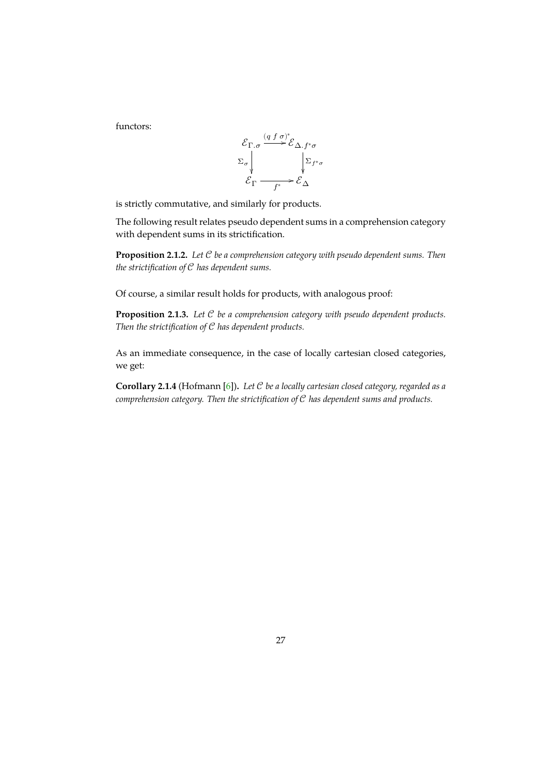functors:



is strictly commutative, and similarly for products.

The following result relates pseudo dependent sums in a comprehension category with dependent sums in its strictification.

**Proposition 2.1.2.** *Let be a comprehension category with pseudo dependent sums. Then the strictification of*  $C$  *has dependent sums.* 

<span id="page-27-0"></span>Of course, a similar result holds for products, with analogous proof:

**Proposition 2.1.3.** Let C be a comprehension category with pseudo dependent products. *Then the strictification of C has dependent products.* 

<span id="page-27-1"></span>As an immediate consequence, in the case of locally cartesian closed categories, we get:

<span id="page-27-2"></span>**Corollary 2.1.4** (Hofmann [6])**.** *Let be a locally cartesian closed category, regarded as a comprehension category. Then the strictification of has dependent sums and products.*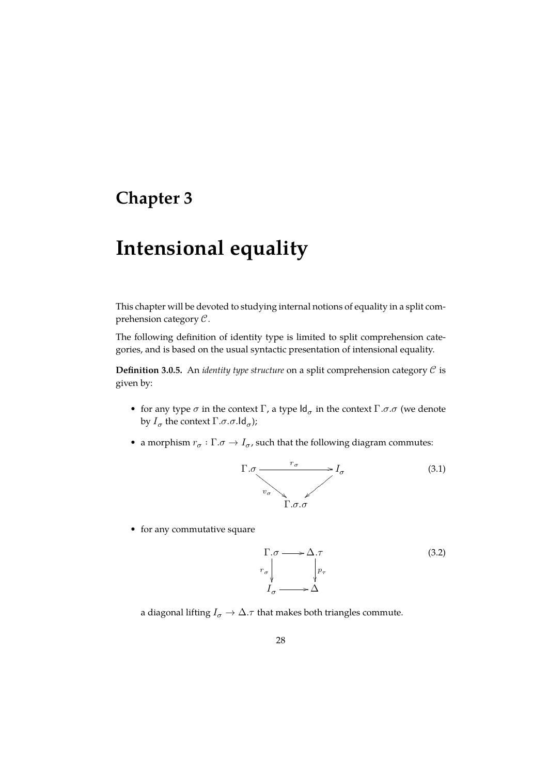# <span id="page-28-0"></span>**Chapter 3**

# **Intensional equality**

This chapter will be devoted to studying internal notions of equality in a split comprehension category  $C$ .

The following definition of identity type is limited to split comprehension categories, and is based on the usual syntactic presentation of intensional equality.

**Definition 3.0.5.** An *identity type structure* on a split comprehension category  $C$  is given by:

- for any type  $\sigma$  in the context  $\Gamma$ , a type  $\mathsf{Id}_{\sigma}$  in the context  $\Gamma$ . $\sigma$ . $\sigma$  (we denote by  $I_{\sigma}$  the context  $\Gamma.\sigma.\sigma.\mathsf{Id}_{\sigma}$ );
- a morphism  $r_{\sigma} : \Gamma$ . $\sigma \to I_{\sigma}$ , such that the following diagram commutes:



• for any commutative square

<span id="page-28-1"></span>
$$
\Gamma.\sigma \longrightarrow \Delta.\tau
$$
\n
$$
r_{\sigma} \downarrow \qquad \qquad p_{\tau}
$$
\n
$$
I_{\sigma} \longrightarrow \Delta
$$
\n(3.2)

a diagonal lifting  $I_{\sigma} \to \Delta$ .  $\tau$  that makes both triangles commute.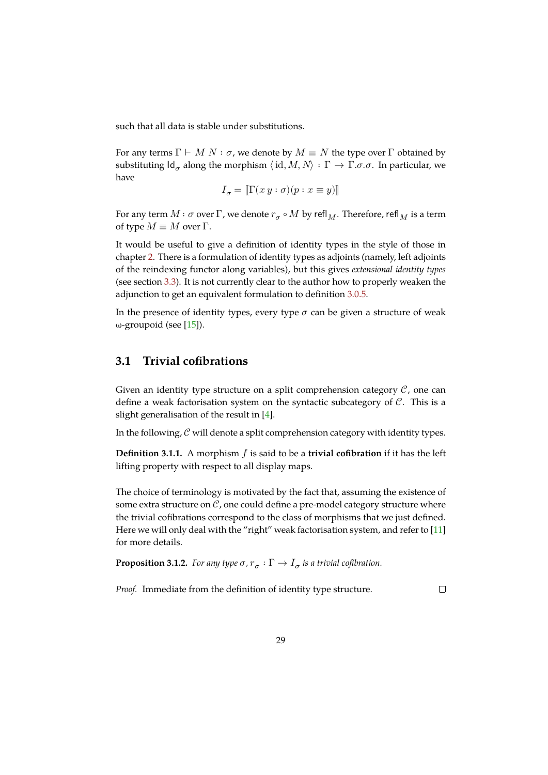such that all data is stable under substitutions.

For any terms  $\Gamma \vdash M \ N : \sigma$ , we denote by  $M \equiv N$  the type over  $\Gamma$  obtained by substituting  $\mathsf{Id}_\sigma$  along the morphism  $\langle\, \mathrm{id}, M, N\rangle\,:\, \Gamma\to \Gamma.$ σ.σ. In particular, we have

$$
I_\sigma = [\![ \Gamma(x\,y:\sigma)(p:x\equiv y) ]\!]
$$

For any term  $M$  :  $\sigma$  over  $\Gamma$ , we denote  $r_{\sigma} \circ M$  by refl $_M$ . Therefore, refl $_M$  is a term of type  $M \equiv M$  over  $\Gamma$ .

It would be useful to give a definition of identity types in the style of those in chapter 2. There is a formulation of identity types as adjoints (namely, left adjoints of the reindexing functor along variables), but this gives *extensional identity types* (see section 3.3). It is not currently clear to the author how to properly weaken the adjunct[io](#page-25-0)n to get an equivalent formulation to definition 3.0.5.

In the presence of identity types, every type  $\sigma$  can be given a structure of weak ω-groupoid [\(se](#page-31-0)e [15]).

## **3.1 Trivial [cofi](#page-45-1)brations**

<span id="page-29-0"></span>Given an identity type structure on a split comprehension category  $\mathcal{C}$ , one can define a weak factorisation system on the syntactic subcategory of  $C$ . This is a slight generalisation of the result in [4].

In the following,  $C$  will denote a split comprehension category with identity types.

**Definition 3.1.1.** A morphism  $f$  is s[ai](#page-44-0)d to be a **trivial cofibration** if it has the left lifting property with respect to all display maps.

The choice of terminology is motivated by the fact that, assuming the existence of some extra structure on  $\mathcal{C}$ , one could define a pre-model category structure where the trivial cofibrations correspond to the class of morphisms that we just defined. Here we will only deal with the "right" weak factorisation system, and refer to [11] for more details.

**Proposition 3.1.2.** For any type  $\sigma$ ,  $r_{\sigma} : \Gamma \to I_{\sigma}$  is a trivial cofibration.

<span id="page-29-1"></span>*Proof.* Immediate from the definition of identity type structure.

 $\Box$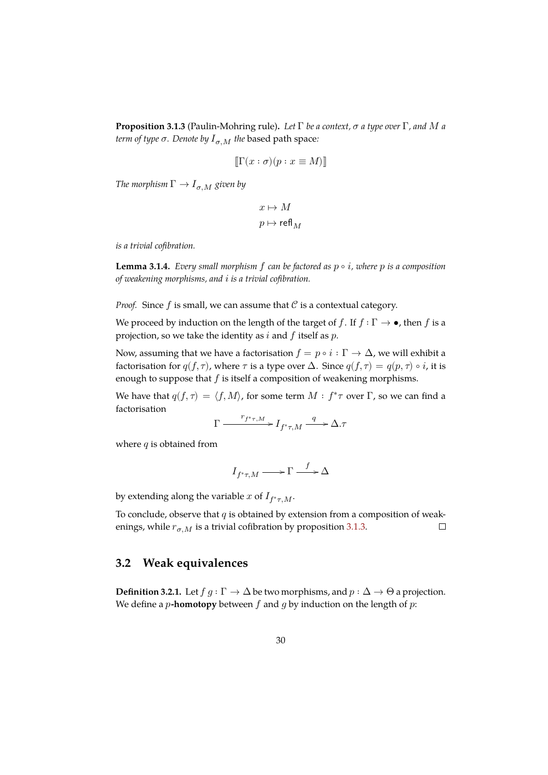**Proposition 3.1.3** (Paulin-Mohring rule)**.** *Let* Γ *be a context, a type over* Γ*, and a term of type*  $\sigma$ *. Denote by*  $I_{\sigma,M}$  *the* based path space:

$$
\llbracket \Gamma(x:\sigma)(p:x\equiv M) \rrbracket
$$

*The morphism*  $\Gamma \rightarrow I_{\sigma,M}$  *given by* 

$$
\begin{aligned} x &\mapsto M \\ p &\mapsto \text{refl}_M \end{aligned}
$$

*is a trivial cofibration.*

**Lemma 3.1.4.** *Every small morphism*  $f$  *can be factored as*  $p \circ i$ *, where*  $p$  *is a composition of weakening morphisms, and is a trivial cofibration.*

*Proof.* Since  $f$  is small, we can assume that  $\mathcal C$  is a contextual category.

We proceed by induction on the length of the target of f. If  $f : \Gamma \to \bullet$ , then f is a projection, so we take the identity as  $i$  and  $f$  itself as  $p$ .

Now, assuming that we have a factorisation  $f=p\circ i:\Gamma\rightarrow\Delta,$  we will exhibit a factorisation for  $q(f, \tau)$ , where  $\tau$  is a type over  $\Delta$ . Since  $q(f, \tau) = q(p, \tau) \circ i$ , it is enough to suppose that  $f$  is itself a composition of weakening morphisms.

We have that  $q(f, \tau) = \langle f, M \rangle$ , for some term  $M : f^* \tau$  over  $\Gamma$ , so we can find a factorisation

$$
\Gamma \xrightarrow{r_{f^*\tau,M}} I_{f^*\tau,M} \xrightarrow{q} \Delta.\tau
$$

where  $q$  is obtained from

$$
I_{f^*\tau,M}\longrightarrow \Gamma\stackrel{f}{\longrightarrow} \Delta
$$

by extending along the variable x of  $I_{f^*\tau,M}$ .

To conclude, observe that  $q$  is obtained by extension from a composition of weakenings, while  $r_{\sigma,M}$  is a trivial cofibration by proposition 3.1.3.  $\Box$ 

## **3.2 Weak equivalences**

<span id="page-30-0"></span>**Definition 3.2.1.** Let  $f g : \Gamma \to \Delta$  be two morphisms, and  $p : \Delta \to \Theta$  a projection. We define a  $p$ -homotopy between  $f$  and  $g$  by induction on the length of  $p$ :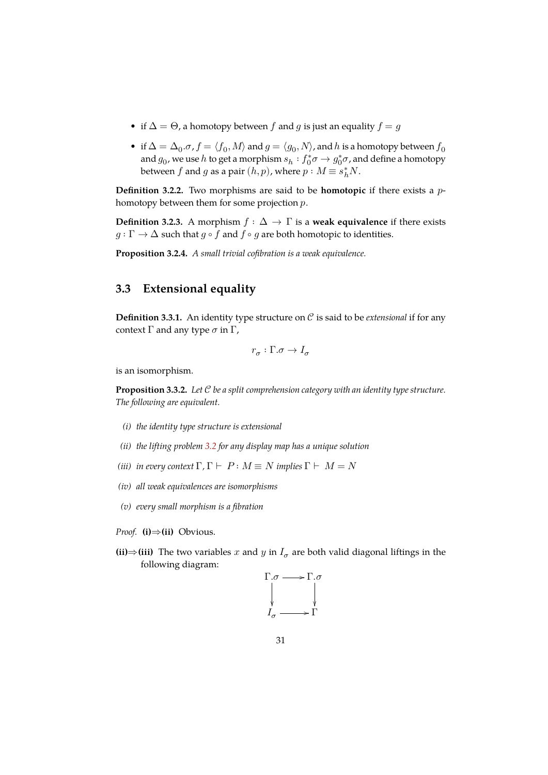- if  $\Delta = \Theta$ , a homotopy between f and g is just an equality  $f = g$
- if  $\Delta=\Delta_0. \sigma$  ,  $f=\langle f_0,M\rangle$  and  $g=\langle g_0,N\rangle$  , and  $h$  is a homotopy between  $f_0$ and  $g_0$ , we use  $h$  to get a morphism  $s_h : f_0^*\sigma \to g_0^*\sigma$ , and define a homotopy between  $f$  and  $g$  as a pair  $(h, p)$ , where  $p : M \equiv s_h^* N$ .

**Definition 3.2.2.** Two morphisms are said to be **homotopic** if there exists a  $p$ homotopy between them for some projection  $p$ .

**Definition 3.2.3.** A morphism  $f : \Delta \to \Gamma$  is a **weak equivalence** if there exists  $q: \Gamma \to \Delta$  such that  $q \circ f$  and  $f \circ q$  are both homotopic to identities.

**Proposition 3.2.4.** *A small trivial cofibration is a weak equivalence.*

## **3.3 Extensional equality**

<span id="page-31-0"></span>**Definition 3.3.1.** An identity type structure on  $C$  is said to be *extensional* if for any context Γ and any type  $\sigma$  in Γ,

$$
r_\sigma:\Gamma.\sigma\to I_\sigma
$$

is an isomorphism.

**Proposition 3.3.2.** *Let be a split comprehension category with an identity type structure. The following are equivalent.*

- <span id="page-31-1"></span>*(i) the identity type structure is extensional*
- *(ii) the lifting problem 3.2 for any display map has a unique solution*
- *(iii) in every context*  $\Gamma$ ,  $\Gamma \vdash P : M \equiv N$  *implies*  $\Gamma \vdash M = N$
- *(iv) all weak equivalen[ces a](#page-28-1)re isomorphisms*
- *(v) every small morphism is a fibration*
- *Proof.* **(i)**⇒**(ii)** Obvious.
- (**ii**)⇒(**iii**) The two variables *x* and *y* in  $I_{\sigma}$  are both valid diagonal liftings in the following diagram:

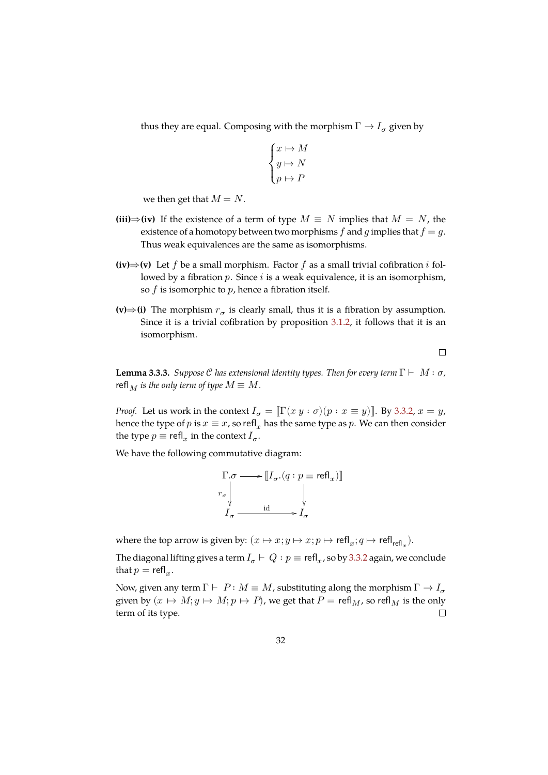thus they are equal. Composing with the morphism  $\Gamma \to I_{\sigma}$  given by

$$
\begin{cases} x \mapsto M \\ y \mapsto N \\ p \mapsto P \end{cases}
$$

we then get that  $M = N$ .

- **(iii)**  $\Rightarrow$  (iv) If the existence of a term of type  $M \equiv N$  implies that  $M = N$ , the existence of a homotopy between two morphisms f and g implies that  $f = g$ . Thus weak equivalences are the same as isomorphisms.
- **(iv)**  $\Rightarrow$  **(v)** Let *f* be a small morphism. Factor *f* as a small trivial cofibration *i* followed by a fibration  $p$ . Since  $i$  is a weak equivalence, it is an isomorphism, so  $f$  is isomorphic to  $p$ , hence a fibration itself.
- **(v)**⇒(i) The morphism  $r_{\sigma}$  is clearly small, thus it is a fibration by assumption. Since it is a trivial cofibration by proposition 3.1.2, it follows that it is an isomorphism.

 $\Box$ 

**Lemma 3.3.3.** *Suppose C has extensional identity types. [Then fo](#page-29-1)r every term*  $\Gamma \vdash M : \sigma$ , refl<sub>M</sub> is the only term of type  $M \equiv M$ .

*Proof.* Let us work in the context  $I_{\sigma} = \mathbb{I} \Gamma(x y : \sigma)(p : x \equiv y)$ . By 3.3.2,  $x = y$ , hence the type of  $p$  is  $x \equiv x$ , so refl<sub>x</sub> has the same type as  $p$ . We can then consider the type  $p \equiv \text{refl}_x$  in the context  $I_{\sigma}$ .

We have the following commutative diagram:

$$
\Gamma.\sigma \longrightarrow \llbracket I_\sigma.(q:p \equiv \text{refl}_x)\rrbracket
$$

$$
\downarrow \qquad \qquad \downarrow
$$

$$
I_\sigma \xrightarrow{\text{id}} I_\sigma
$$

where the top arrow is given by:  $(x \mapsto x; y \mapsto x; p \mapsto \text{refl}_x; q \mapsto \text{refl}_\text{refl}_x$ ).

The diagonal lifting gives a term  $I_\sigma \vdash Q : p \equiv \mathsf{refl}_x$ , so by 3.3.2 again, we conclude that  $p = \text{refl}_x$ .

Now, given any term  $\Gamma \vdash P : M \equiv M$ , substituting along the morphism  $\Gamma \rightarrow I_{\sigma}$ given by  $(x \mapsto M; y \mapsto M; p \mapsto P)$ , we get that  $P = \text{refl}_M$ , so refl<sub>M</sub> is the only term of its type.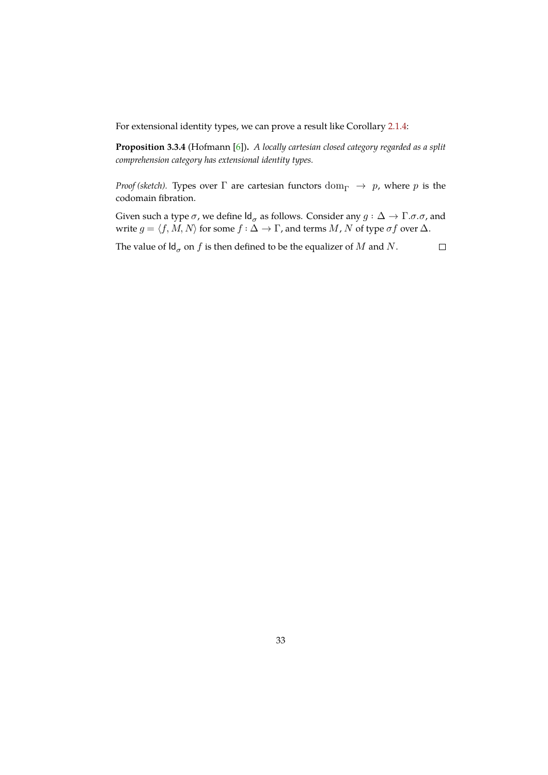For extensional identity types, we can prove a result like Corollary 2.1.4:

**Proposition 3.3.4** (Hofmann [6])**.** *A locally cartesian closed category regarded as a split comprehension category has extensional identity types.*

<span id="page-33-0"></span>*Proof (sketch).* Types over  $\Gamma$  [are](#page-44-4) cartesian functors  $dom_{\Gamma} \rightarrow p$ , where  $p$  is the codomain fibration.

Given such a type  $\sigma$ , we define  ${\sf Id}_\sigma$  as follows. Consider any  $g:\Delta\to \Gamma.$   $\sigma.$   $\sigma$ , and write  $g = \langle f, M, N \rangle$  for some  $f : \Delta \to \Gamma$ , and terms  $M$ ,  $N$  of type  $\sigma f$  over  $\Delta$ .

The value of  $\mathsf{Id}_\sigma$  on  $f$  is then defined to be the equalizer of  $M$  and  $N$ .  $\Box$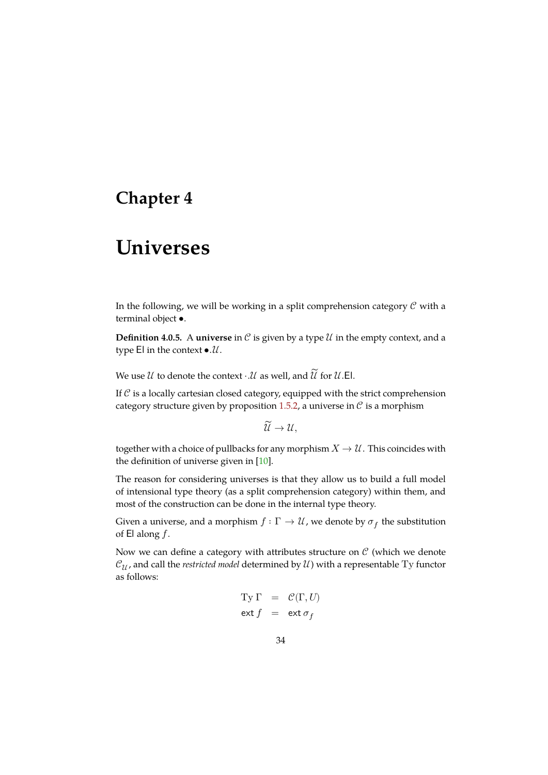# <span id="page-34-0"></span>**Chapter 4**

# **Universes**

In the following, we will be working in a split comprehension category  $\mathcal C$  with a terminal object •.

**Definition 4.0.5.** A **universe** in  $C$  is given by a type  $U$  in the empty context, and a type  $El$  in the context  $\bullet$ . $\mathcal{U}$ .

We use  $\mathcal U$  to denote the context  $\cdot \mathcal U$  as well, and  $\widetilde{\mathcal U}$  for  $\mathcal U$ .El.

If  $C$  is a locally cartesian closed category, equipped with the strict comprehension category structure given by proposition 1.5.2, a universe in  $\mathcal C$  is a morphism

$$
\widetilde{\mathcal{U}} \to \mathcal{U},
$$

together with a choice of pullbacks for a[ny mo](#page-21-1)rphism  $X \to \mathcal{U}$ . This coincides with the definition of universe given in [10].

The reason for considering universes is that they allow us to build a full model of intensional type theory (as a split comprehension category) within them, and most of the construction can be do[ne i](#page-44-5)n the internal type theory.

Given a universe, and a morphism  $f:\Gamma\to\mathcal U$ , we denote by  $\sigma_f$  the substitution of  $El$  along  $f$ .

Now we can define a category with attributes structure on  $\mathcal C$  (which we denote  $\mathcal{C}_{\mathcal{U}}$ , and call the *restricted model* determined by  $\mathcal{U}$ ) with a representable Ty functor as follows:

$$
\begin{array}{rcl} \mathbf{Ty} \; \Gamma & = & \mathcal{C}(\Gamma, U) \\ \mathbf{ext} \; f & = & \mathbf{ext} \; \sigma_f \end{array}
$$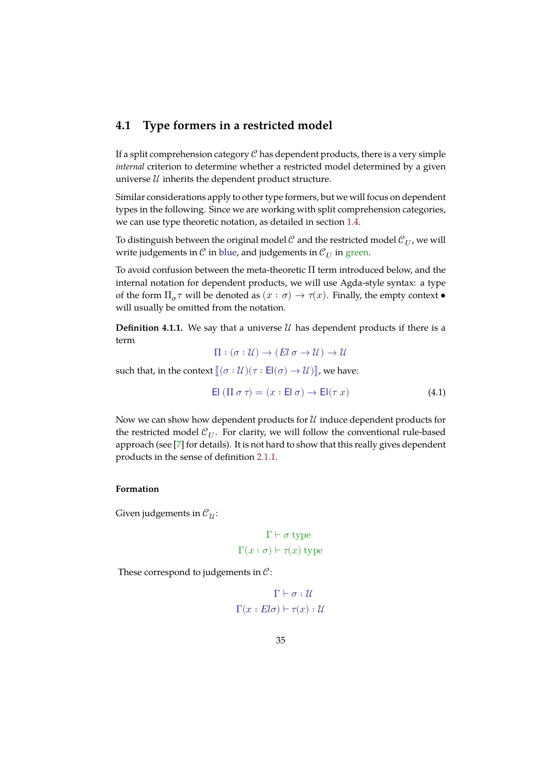### **4.1 Type formers in a restricted model**

<span id="page-35-0"></span>If a split comprehension category  $\mathcal C$  has dependent products, there is a very simple *internal* criterion to determine whether a restricted model determined by a given universe  $\mathcal U$  inherits the dependent product structure.

Similar considerations apply to other type formers, but we will focus on dependent types in the following. Since we are working with split comprehension categories, we can use type theoretic notation, as detailed in section 1.4.

To distinguish between the original model  $\mathcal C$  and the restricted model  $\mathcal C_{IJ}$ , we will write judgements in  $\mathcal C$  in blue, and judgements in  $\mathcal C_U$  in green.

To avoid confusion between the meta-theoretic Π term i[ntro](#page-18-0)duced below, and the internal notation for dependent products, we will use Agda-style syntax: a type of the form  $\Pi_{\sigma} \tau$  will be denoted as  $(x : \sigma) \to \tau(x)$ . Finally, the empty context  $\bullet$ will usually be omitted from the notation.

**Definition 4.1.1.** We say that a universe  $\mathcal{U}$  has dependent products if there is a term

$$
\Pi : (\sigma : \mathcal{U}) \to (El \sigma \to \mathcal{U}) \to \mathcal{U}
$$

such that, in the context  $\lbrack\! \lbrack (\sigma : \mathcal{U})(\tau : \mathsf{El}(\sigma) \to \mathcal{U}) \rbrack\! \rbrack$ , we have:

$$
\text{El } (\Pi \sigma \tau) = (x : \text{El } \sigma) \to \text{El}(\tau x) \tag{4.1}
$$

Now we can show how dependent products for  $\mathcal U$  induce dependent products for the restricted model  $\mathcal{C}_U$ . For clarity, we will follow the conventional rule-based approach (see [7] for details). It is not hard to show that this really gives dependent products in the sense of definition 2.1.1.

#### **Formation**

Given judgements in  $\mathcal{C}_{\mathcal{U}}$ :

$$
\Gamma \vdash \sigma \text{ type}
$$

$$
\Gamma(x:\sigma) \vdash \tau(x) \text{ type}
$$

These correspond to judgements in  $\mathcal{C}$ :

$$
\Gamma \vdash \sigma : \mathcal{U}
$$

$$
\Gamma(x : El\sigma) \vdash \tau(x) : \mathcal{U}
$$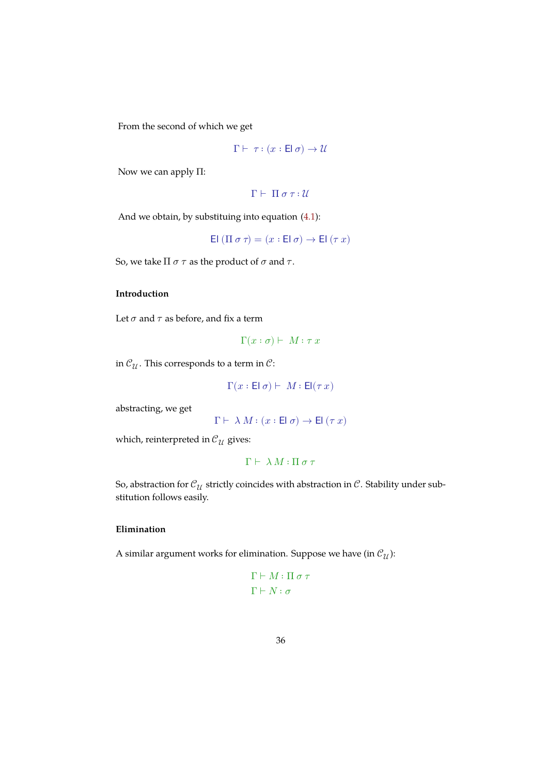From the second of which we get

$$
\Gamma \vdash \tau : (x : \mathsf{El}\,\sigma) \to \mathcal{U}
$$

Now we can apply Π:

 $Γ ⊢ Π σ τ: *U*$ 

And we obtain, by substituing into equation (4.1):

$$
\text{El } (\Pi \: \sigma \: \tau) = (x: \text{El } \sigma) \to \text{El } (\tau \: x)
$$

So, we take  $\Pi \sigma \tau$  as the product of  $\sigma$  and  $\tau$ .

#### **Introduction**

Let  $\sigma$  and  $\tau$  as before, and fix a term

$$
\Gamma(x:\sigma) \vdash M : \tau x
$$

in  $\mathcal{C}_{\mathcal{U}}$ . This corresponds to a term in  $\mathcal{C}$ :

$$
\Gamma(x:\text{El}\; \sigma) \vdash \; M:\text{El}(\tau\,x)
$$

abstracting, we get

$$
\Gamma \vdash \lambda \, M : (x : \mathsf{El}\,\sigma) \to \mathsf{El}\,(\tau\,x)
$$

which, reinterpreted in  $\mathcal{C}_{\mathcal{U}}$  gives:

$$
\Gamma \vdash \, \lambda \, M : \Pi \, \sigma \, \tau
$$

So, abstraction for  $\mathcal{C}_{\mathcal{U}}$  strictly coincides with abstraction in  $\mathcal{C}.$  Stability under substitution follows easily.

### **Elimination**

A similar argument works for elimination. Suppose we have (in  $\mathcal{C}_{\mathcal{U}}$ ):

$$
\Gamma \vdash M : \Pi \circ \tau
$$

$$
\Gamma \vdash N : \sigma
$$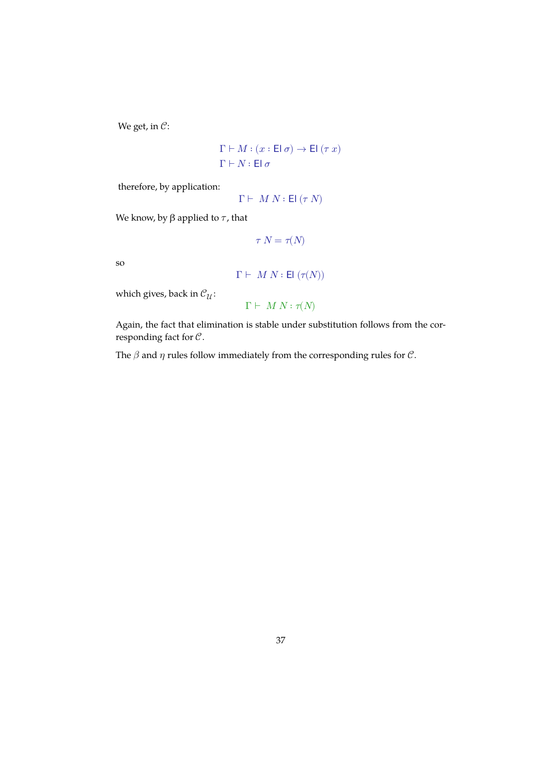We get, in  $C$ :

$$
\begin{aligned} \Gamma \vdash M : (x : \mathsf{El}\ \sigma) \rightarrow \mathsf{El}\ (\tau\ x) \\ \Gamma \vdash N : \mathsf{El}\ \sigma \end{aligned}
$$

therefore, by application:

$$
\Gamma \vdash M \ N : \mathsf{El} \ (\tau \ N)
$$

We know, by  $\beta$  applied to  $\tau$ , that

$$
\tau \ N=\tau(N)
$$

so

$$
\Gamma \vdash M \ N : \mathsf{El}\ (\tau(N))
$$

which gives, back in  $\mathcal{C}_{\mathcal{U}}$  :

$$
\Gamma \vdash \, M \, \, N : \tau(N)
$$

Again, the fact that elimination is stable under substitution follows from the corresponding fact for  $C$ .

The  $\beta$  and  $\eta$  rules follow immediately from the corresponding rules for  $\mathcal{C}.$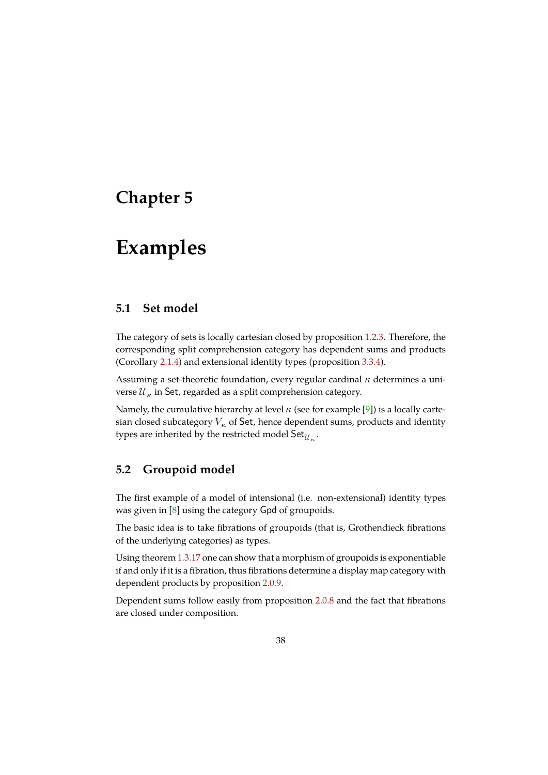# <span id="page-38-0"></span>**Chapter 5**

# **Examples**

### **5.1 Set model**

<span id="page-38-1"></span>The category of sets is locally cartesian closed by proposition 1.2.3. Therefore, the corresponding split comprehension category has dependent sums and products (Corollary 2.1.4) and extensional identity types (proposition 3.3.4).

Assuming a set-theoretic foundation, every regular cardinal  $\kappa$  [det](#page-11-0)ermines a universe  $\mathcal{U}_\kappa$  in Set, regarded as a split comprehension category.

Namely, th[e cum](#page-27-2)ulative hierarchy at level  $\kappa$  (see for example [\[9\]\) i](#page-33-0)s a locally cartesian closed subcategory  $V_{\kappa}$  of Set, hence dependent sums, products and identity types are inherited by the restricted model  $\mathsf{Set}_{\mathcal{U}_\kappa}.$ 

### **5.2 Groupoid model**

<span id="page-38-2"></span>The first example of a model of intensional (i.e. non-extensional) identity types was given in  $[8]$  using the category Gpd of groupoids.

The basic idea is to take fibrations of groupoids (that is, Grothendieck fibrations of the underlying categories) as types.

Using theore[m](#page-44-1) 1.3.17 one can show that a morphism of groupoids is exponentiable if and only if it is a fibration, thus fibrations determine a display map category with dependent products by proposition 2.0.9.

Dependent su[ms foll](#page-17-1)ow easily from proposition 2.0.8 and the fact that fibrations are closed under composition.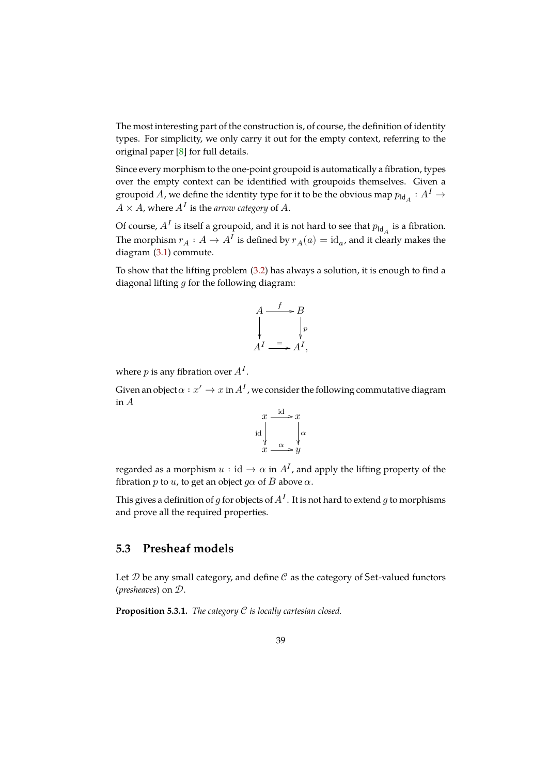The most interesting part of the construction is, of course, the definition of identity types. For simplicity, we only carry it out for the empty context, referring to the original paper [8] for full details.

Since every morphism to the one-point groupoid is automatically a fibration, types over the empty context can be identified with groupoids themselves. Given a groupoid  $A$ , w[e d](#page-44-1)efine the identity type for it to be the obvious map  $p_{\mathsf{Id}_A} : A^I \to$  $A \times A$ , where  $A^I$  is the *arrow category* of  $A$ .

Of course,  $A^I$  is itself a groupoid, and it is not hard to see that  $p_{\mathsf{Id}_A}$  is a fibration. The morphism  $r_A: A \to A^I$  is defined by  $r_A(a) = \mathrm{id}_{a'}$ , and it clearly makes the diagram (3.1) commute.

To show that the lifting problem (3.2) has always a solution, it is enough to find a diagonal lifting  $g$  for the following diagram:

$$
A \xrightarrow{f} B
$$
  
\n
$$
\downarrow^{p}
$$
  
\n
$$
A^I \xrightarrow{f} A^I,
$$

where  $p$  is any fibration over  $A^I$ .

Given an object  $\alpha: x' \to x$  in  $A^I$  , we consider the following commutative diagram in  $A$ 

$$
x \xrightarrow{\text{id}} x
$$
\n
$$
\downarrow \text{ad} \downarrow \text{ad}
$$
\n
$$
x \xrightarrow{\alpha} y
$$

regarded as a morphism  $u:\mathrm{id}\to\alpha$  in  $A^I$ , and apply the lifting property of the fibration p to u, to get an object  $g\alpha$  of B above  $\alpha$ .

This gives a definition of  $g$  for objects of  $A^I.$  It is not hard to extend  $g$  to morphisms and prove all the required properties.

## **5.3 Presheaf models**

<span id="page-39-0"></span>Let  $D$  be any small category, and define  $C$  as the category of Set-valued functors (*presheaves*) on  $\mathcal{D}$ .

**Proposition 5.3.1.** *The category is locally cartesian closed.*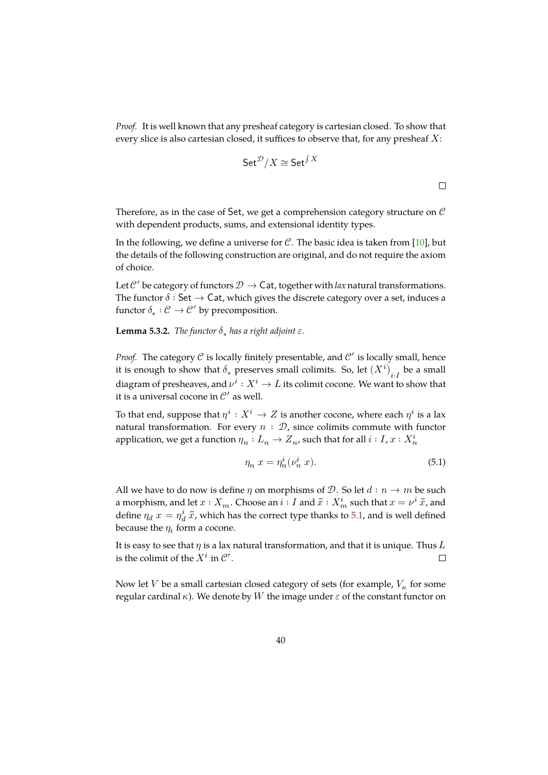*Proof.* It is well known that any presheaf category is cartesian closed. To show that every slice is also cartesian closed, it suffices to observe that, for any presheaf  $X$ :

$$
\mathsf{Set}^\mathcal{D}/X \cong \mathsf{Set}^{\int X}
$$

 $\Box$ 

Therefore, as in the case of Set, we get a comprehension category structure on  $\mathcal C$ with dependent products, sums, and extensional identity types.

In the following, we define a universe for  $C$ . The basic idea is taken from [10], but the details of the following construction are original, and do not require the axiom of choice.

Let  $\mathcal{C}'$  $\mathcal{C}'$  $\mathcal{C}'$  be category of functors  $\mathcal{D} \to \mathsf{Cat}$ , together with *lax* natural transformations. The functor  $\delta$  : Set  $\rightarrow$  Cat, which gives the discrete category over a set, induces a functor  $\delta_* : \mathcal{C} \to \mathcal{C}'$  by precomposition.

**Lemma 5.3.2.** *The functor*  $\delta_*$  *has a right adjoint*  $\varepsilon$ *.* 

*Proof.* The category  $C$  is locally finitely presentable, and  $C'$  is locally small, hence it is enough to show that  $\delta_*$  preserves small colimits. So, let  $\left(X^i\right)_{i:I}$  be a small diagram of presheaves, and  $\nu^i: X^i \to L$  its colimit cocone. We want to show that it is a universal cocone in  $\mathcal{C}'$  as well.

To that end, suppose that  $\eta^i: X^i \to Z$  is another cocone, where each  $\eta^i$  is a lax natural transformation. For every  $n : \mathcal{D}$ , since colimits commute with functor application, we get a function  $\eta_n: L_n \to Z_n$ , such that for all  $i: I$ ,  $x: X_n^i$ 

$$
\eta_n x = \eta_n^i(\nu_n^i x). \tag{5.1}
$$

All we have to do now is define  $\eta$  on morphisms of  $\mathcal{D}$ . So let  $d : n \to m$  be such a morphism, and let  $x:X_m.$  Choose an  $i:I$  and  $\tilde{x}:X_m^i$  such that  $x=\nu^i\,\tilde{x}$ , and define  $\eta_d x = \eta_d^i \, \tilde{x}$ , which has the correct type thanks to 5.1, and is well defined because the  $\eta_i$  form a cocone.

It is easy to see that  $\eta$  is a lax natural transformation, and that it is unique. Thus L is the colimit of the  $X^i$  in  $\mathcal{C}'$ .  $\Box$ 

Now let  $V$  be a small cartesian closed category of sets (for example,  $V_\kappa$  for some regular cardinal  $\kappa$ ). We denote by W the image under  $\varepsilon$  of the constant functor on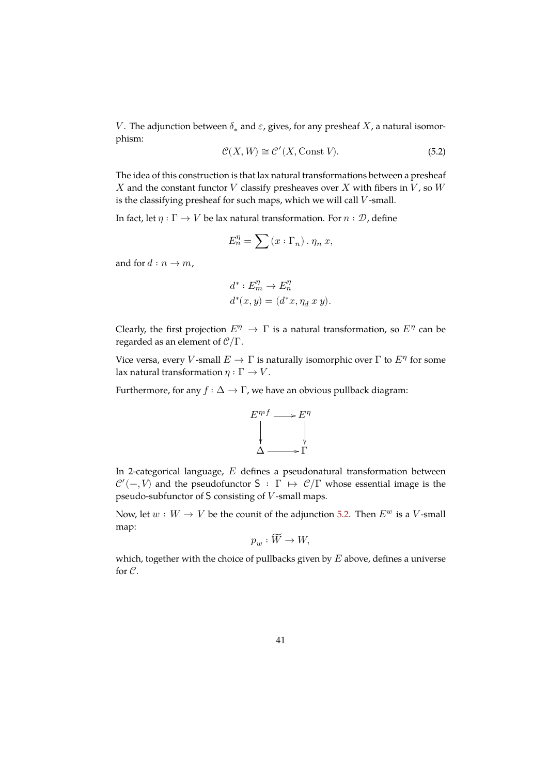V. The adjunction between  $\delta_*$  and  $\varepsilon$ , gives, for any presheaf  $X$ , a natural isomorphism:

<span id="page-41-0"></span>
$$
\mathcal{C}(X,W) \cong \mathcal{C}'(X,\text{Const } V). \tag{5.2}
$$

The idea of this construction is that lax natural transformations between a presheaf  $X$  and the constant functor  $V$  classify presheaves over  $X$  with fibers in  $V$ , so  $W$ is the classifying presheaf for such maps, which we will call  $V$ -small.

In fact, let  $\eta : \Gamma \to V$  be lax natural transformation. For  $n : \mathcal{D}$ , define

$$
E_n^{\eta} = \sum (x : \Gamma_n) \cdot \eta_n \, x,
$$

and for  $d : n \to m$ ,

$$
d^* : E_m^{\eta} \to E_n^{\eta}
$$
  

$$
d^*(x, y) = (d^*x, \eta_d x y).
$$

Clearly, the first projection  $E^{\eta} \to \Gamma$  is a natural transformation, so  $E^{\eta}$  can be regarded as an element of  $\mathcal{C}/\Gamma$ .

Vice versa, every V-small  $E \to \Gamma$  is naturally isomorphic over  $\Gamma$  to  $E^{\eta}$  for some lax natural transformation  $\eta : \Gamma \to V$ .

Furthermore, for any  $f : \Delta \to \Gamma$ , we have an obvious pullback diagram:



In 2-categorical language,  $E$  defines a pseudonatural transformation between  $\mathcal{C}'(-, V)$  and the pseudofunctor  $S : \Gamma \mapsto \mathcal{C}/\Gamma$  whose essential image is the pseudo-subfunctor of  $S$  consisting of  $V$ -small maps.

Now, let  $w : W \to V$  be the counit of the adjunction 5.2. Then  $E^w$  is a *V*-small map:  $\overline{\phantom{0}}$ 

$$
p_w : \widetilde{W} \to W,
$$

which, together with the choice of pullbacks given by  $E$  above, defines a universe for  $\mathcal{C}$ .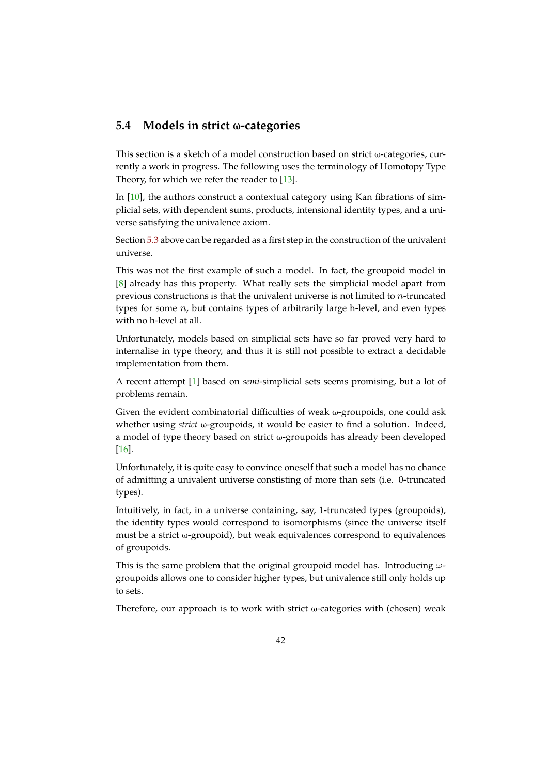### **5.4 Models in strict ω-categories**

This section is a sketch of a model construction based on strict  $\omega$ -categories, currently a work in progress. The following uses the terminology of Homotopy Type Theory, for which we refer the reader to [13].

In [10], the authors construct a contextual category using Kan fibrations of simplicial sets, with dependent sums, products, intensional identity types, and a universe satisfying the univalence axiom.

Sec[tion](#page-44-5) 5.3 above can be regarded as a first step in the construction of the univalent universe.

This was not the first example of such a model. In fact, the groupoid model in [8] alre[ady](#page-39-0) has this property. What really sets the simplicial model apart from previous constructions is that the univalent universe is not limited to  $n$ -truncated types for some  $n$ , but contains types of arbitrarily large h-level, and even types [w](#page-44-1)ith no h-level at all.

Unfortunately, models based on simplicial sets have so far proved very hard to internalise in type theory, and thus it is still not possible to extract a decidable implementation from them.

A recent attempt [1] based on *semi*-simplicial sets seems promising, but a lot of problems remain.

Given the evident combinatorial difficulties of weak  $\omega$ -groupoids, one could ask whether using *stri[ct](#page-44-6)* ω-groupoids, it would be easier to find a solution. Indeed, a model of type theory based on strict ω-groupoids has already been developed [16].

Unfortunately, it is quite easy to convince oneself that such a model has no chance of admitting a univalent universe constisting of more than sets (i.e. 0-truncated [typ](#page-45-2)es).

Intuitively, in fact, in a universe containing, say, 1-truncated types (groupoids), the identity types would correspond to isomorphisms (since the universe itself must be a strict  $\omega$ -groupoid), but weak equivalences correspond to equivalences of groupoids.

This is the same problem that the original groupoid model has. Introducing  $\omega$ groupoids allows one to consider higher types, but univalence still only holds up to sets.

Therefore, our approach is to work with strict  $\omega$ -categories with (chosen) weak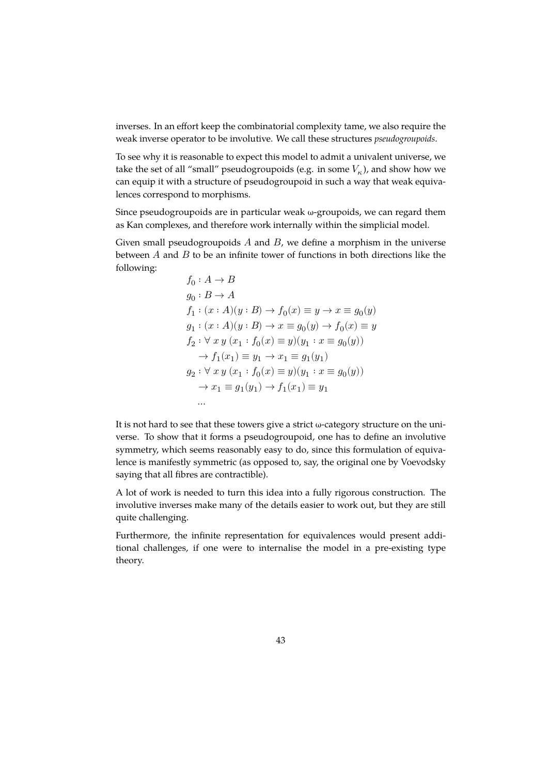inverses. In an effort keep the combinatorial complexity tame, we also require the weak inverse operator to be involutive. We call these structures *pseudogroupoids*.

To see why it is reasonable to expect this model to admit a univalent universe, we take the set of all "small" pseudogroupoids (e.g. in some  $V_\kappa$ ), and show how we can equip it with a structure of pseudogroupoid in such a way that weak equivalences correspond to morphisms.

Since pseudogroupoids are in particular weak ω-groupoids, we can regard them as Kan complexes, and therefore work internally within the simplicial model.

Given small pseudogroupoids  $A$  and  $B$ , we define a morphism in the universe between  $A$  and  $B$  to be an infinite tower of functions in both directions like the following:

$$
f_0: A \to B
$$
  
\n
$$
g_0: B \to A
$$
  
\n
$$
f_1: (x:A)(y:B) \to f_0(x) \equiv y \to x \equiv g_0(y)
$$
  
\n
$$
g_1: (x:A)(y:B) \to x \equiv g_0(y) \to f_0(x) \equiv y
$$
  
\n
$$
f_2: \forall x y (x_1 : f_0(x) \equiv y)(y_1 : x \equiv g_0(y))
$$
  
\n
$$
\to f_1(x_1) \equiv y_1 \to x_1 \equiv g_1(y_1)
$$
  
\n
$$
g_2: \forall x y (x_1 : f_0(x) \equiv y)(y_1 : x \equiv g_0(y))
$$
  
\n
$$
\to x_1 \equiv g_1(y_1) \to f_1(x_1) \equiv y_1
$$
  
\n...

It is not hard to see that these towers give a strict ω-category structure on the universe. To show that it forms a pseudogroupoid, one has to define an involutive symmetry, which seems reasonably easy to do, since this formulation of equivalence is manifestly symmetric (as opposed to, say, the original one by Voevodsky saying that all fibres are contractible).

A lot of work is needed to turn this idea into a fully rigorous construction. The involutive inverses make many of the details easier to work out, but they are still quite challenging.

Furthermore, the infinite representation for equivalences would present additional challenges, if one were to internalise the model in a pre-existing type theory.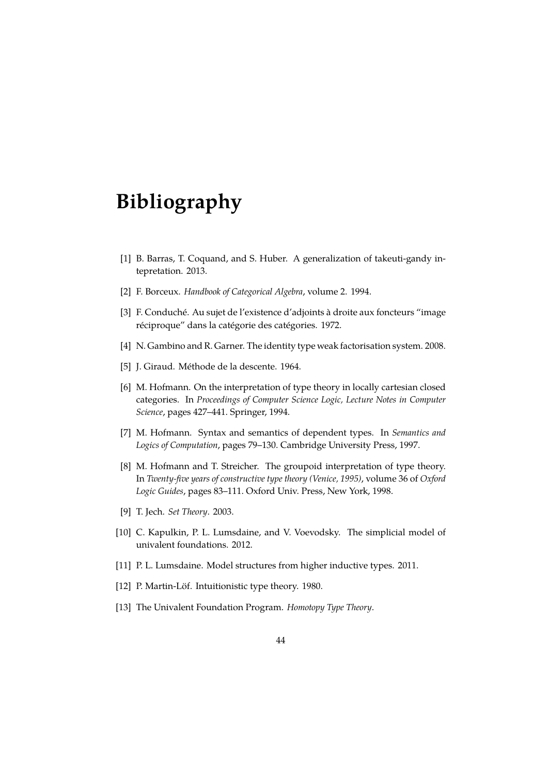# **Bibliography**

- <span id="page-44-6"></span>[1] B. Barras, T. Coquand, and S. Huber. A generalization of takeuti-gandy intepretation. 2013.
- <span id="page-44-2"></span>[2] F. Borceux. *Handbook of Categorical Algebra*, volume 2. 1994.
- [3] F. Conduché. Au sujet de l'existence d'adjoints à droite aux foncteurs "image réciproque" dans la catégorie des catégories. 1972.
- <span id="page-44-0"></span>[4] N. Gambino and R. Garner. The identity type weak factorisation system. 2008.
- <span id="page-44-3"></span>[5] J. Giraud. Méthode de la descente. 1964.
- <span id="page-44-4"></span>[6] M. Hofmann. On the interpretation of type theory in locally cartesian closed categories. In *Proceedings of Computer Science Logic, Lecture Notes in Computer Science*, pages 427–441. Springer, 1994.
- [7] M. Hofmann. Syntax and semantics of dependent types. In *Semantics and Logics of Computation*, pages 79–130. Cambridge University Press, 1997.
- <span id="page-44-1"></span>[8] M. Hofmann and T. Streicher. The groupoid interpretation of type theory. In *Twenty-five years of constructive type theory (Venice, 1995)*, volume 36 of *Oxford Logic Guides*, pages 83–111. Oxford Univ. Press, New York, 1998.
- [9] T. Jech. *Set Theory*. 2003.
- <span id="page-44-5"></span>[10] C. Kapulkin, P. L. Lumsdaine, and V. Voevodsky. The simplicial model of univalent foundations. 2012.
- [11] P. L. Lumsdaine. Model structures from higher inductive types. 2011.
- [12] P. Martin-Löf. Intuitionistic type theory. 1980.
- [13] The Univalent Foundation Program. *Homotopy Type Theory*.